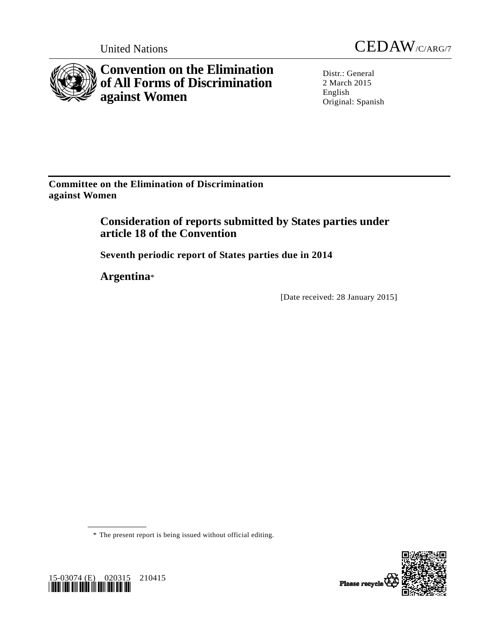

**Convention on the Elimination of All Forms of Discrimination against Women** 



Distr.: General 2 March 2015 English Original: Spanish

**Committee on the Elimination of Discrimination against Women** 

> **Consideration of reports submitted by States parties under article 18 of the Convention**

 **Seventh periodic report of States parties due in 2014** 

 **Argentina**\*

[Date received: 28 January 2015]

\* The present report is being issued without official editing.



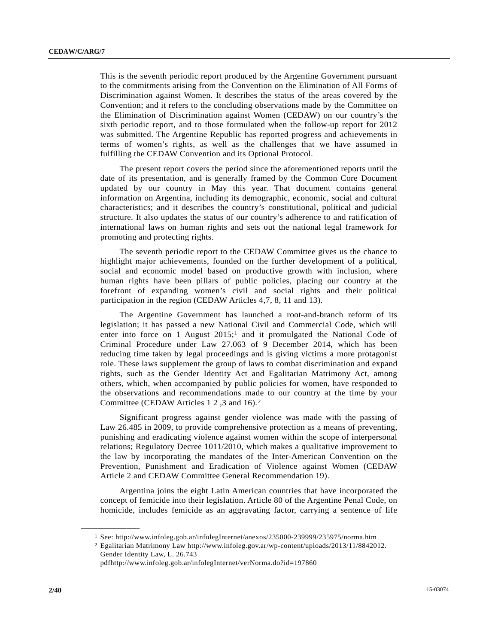This is the seventh periodic report produced by the Argentine Government pursuant to the commitments arising from the Convention on the Elimination of All Forms of Discrimination against Women. It describes the status of the areas covered by the Convention; and it refers to the concluding observations made by the Committee on the Elimination of Discrimination against Women (CEDAW) on our country's the sixth periodic report, and to those formulated when the follow-up report for 2012 was submitted. The Argentine Republic has reported progress and achievements in terms of women's rights, as well as the challenges that we have assumed in fulfilling the CEDAW Convention and its Optional Protocol.

 The present report covers the period since the aforementioned reports until the date of its presentation, and is generally framed by the Common Core Document updated by our country in May this year. That document contains general information on Argentina, including its demographic, economic, social and cultural characteristics; and it describes the country's constitutional, political and judicial structure. It also updates the status of our country's adherence to and ratification of international laws on human rights and sets out the national legal framework for promoting and protecting rights.

 The seventh periodic report to the CEDAW Committee gives us the chance to highlight major achievements, founded on the further development of a political, social and economic model based on productive growth with inclusion, where human rights have been pillars of public policies, placing our country at the forefront of expanding women's civil and social rights and their political participation in the region (CEDAW Articles 4,7, 8, 11 and 13).

 The Argentine Government has launched a root-and-branch reform of its legislation; it has passed a new National Civil and Commercial Code, which will enter into force on 1 August 2015;<sup>1</sup> and it promulgated the National Code of Criminal Procedure under Law 27.063 of 9 December 2014, which has been reducing time taken by legal proceedings and is giving victims a more protagonist role. These laws supplement the group of laws to combat discrimination and expand rights, such as the Gender Identity Act and Egalitarian Matrimony Act, among others, which, when accompanied by public policies for women, have responded to the observations and recommendations made to our country at the time by your Committee (CEDAW Articles 1 2 ,3 and 16).2

 Significant progress against gender violence was made with the passing of Law 26.485 in 2009, to provide comprehensive protection as a means of preventing, punishing and eradicating violence against women within the scope of interpersonal relations; Regulatory Decree 1011/2010, which makes a qualitative improvement to the law by incorporating the mandates of the Inter-American Convention on the Prevention, Punishment and Eradication of Violence against Women (CEDAW Article 2 and CEDAW Committee General Recommendation 19).

 Argentina joins the eight Latin American countries that have incorporated the concept of femicide into their legislation. Article 80 of the Argentine Penal Code, on homicide, includes femicide as an aggravating factor, carrying a sentence of life

<sup>1</sup> See: http://www.infoleg.gob.ar/infolegInternet/anexos/235000-239999/235975/norma.htm

<sup>2</sup> Egalitarian Matrimony Law http://www.infoleg.gov.ar/wp-content/uploads/2013/11/8842012. Gender Identity Law, L. 26.743

pdfhttp://www.infoleg.gob.ar/infolegInternet/verNorma.do?id=197860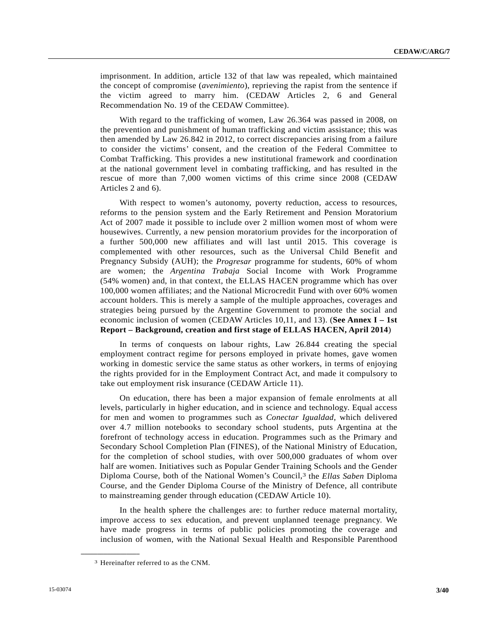imprisonment. In addition, article 132 of that law was repealed, which maintained the concept of compromise (*avenimiento*), reprieving the rapist from the sentence if the victim agreed to marry him. (CEDAW Articles 2, 6 and General Recommendation No. 19 of the CEDAW Committee).

 With regard to the trafficking of women, Law 26.364 was passed in 2008, on the prevention and punishment of human trafficking and victim assistance; this was then amended by Law 26.842 in 2012, to correct discrepancies arising from a failure to consider the victims' consent, and the creation of the Federal Committee to Combat Trafficking. This provides a new institutional framework and coordination at the national government level in combating trafficking, and has resulted in the rescue of more than 7,000 women victims of this crime since 2008 (CEDAW Articles 2 and 6).

 With respect to women's autonomy, poverty reduction, access to resources, reforms to the pension system and the Early Retirement and Pension Moratorium Act of 2007 made it possible to include over 2 million women most of whom were housewives. Currently, a new pension moratorium provides for the incorporation of a further 500,000 new affiliates and will last until 2015. This coverage is complemented with other resources, such as the Universal Child Benefit and Pregnancy Subsidy (AUH); the *Progresar* programme for students, 60% of whom are women; the *Argentina Trabaja* Social Income with Work Programme (54% women) and, in that context, the ELLAS HACEN programme which has over 100,000 women affiliates; and the National Microcredit Fund with over 60% women account holders. This is merely a sample of the multiple approaches, coverages and strategies being pursued by the Argentine Government to promote the social and economic inclusion of women (CEDAW Articles 10,11, and 13). (**See Annex I – 1st Report – Background, creation and first stage of ELLAS HACEN, April 2014**)

 In terms of conquests on labour rights, Law 26.844 creating the special employment contract regime for persons employed in private homes, gave women working in domestic service the same status as other workers, in terms of enjoying the rights provided for in the Employment Contract Act, and made it compulsory to take out employment risk insurance (CEDAW Article 11).

 On education, there has been a major expansion of female enrolments at all levels, particularly in higher education, and in science and technology. Equal access for men and women to programmes such as *Conectar Igualdad*, which delivered over 4.7 million notebooks to secondary school students, puts Argentina at the forefront of technology access in education. Programmes such as the Primary and Secondary School Completion Plan (FINES), of the National Ministry of Education, for the completion of school studies, with over 500,000 graduates of whom over half are women. Initiatives such as Popular Gender Training Schools and the Gender Diploma Course, both of the National Women's Council,3 the *Ellas Saben* Diploma Course, and the Gender Diploma Course of the Ministry of Defence, all contribute to mainstreaming gender through education (CEDAW Article 10).

 In the health sphere the challenges are: to further reduce maternal mortality, improve access to sex education, and prevent unplanned teenage pregnancy. We have made progress in terms of public policies promoting the coverage and inclusion of women, with the National Sexual Health and Responsible Parenthood

<sup>3</sup> Hereinafter referred to as the CNM.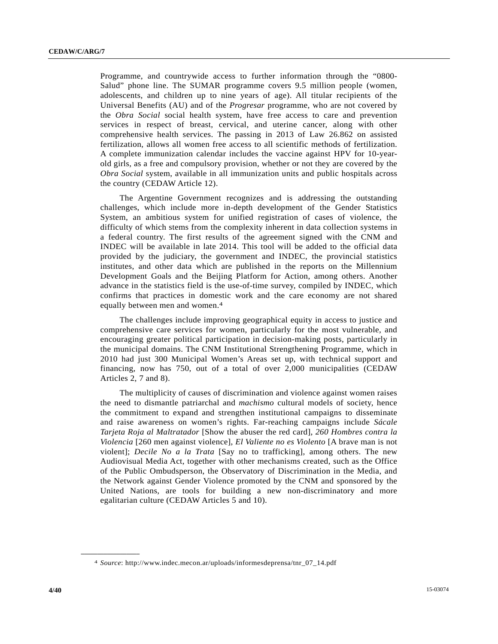Programme, and countrywide access to further information through the "0800- Salud" phone line. The SUMAR programme covers 9.5 million people (women, adolescents, and children up to nine years of age). All titular recipients of the Universal Benefits (AU) and of the *Progresar* programme, who are not covered by the *Obra Social* social health system, have free access to care and prevention services in respect of breast, cervical, and uterine cancer, along with other comprehensive health services. The passing in 2013 of Law 26.862 on assisted fertilization, allows all women free access to all scientific methods of fertilization. A complete immunization calendar includes the vaccine against HPV for 10-yearold girls, as a free and compulsory provision, whether or not they are covered by the *Obra Social* system, available in all immunization units and public hospitals across the country (CEDAW Article 12).

 The Argentine Government recognizes and is addressing the outstanding challenges, which include more in-depth development of the Gender Statistics System, an ambitious system for unified registration of cases of violence, the difficulty of which stems from the complexity inherent in data collection systems in a federal country. The first results of the agreement signed with the CNM and INDEC will be available in late 2014. This tool will be added to the official data provided by the judiciary, the government and INDEC, the provincial statistics institutes, and other data which are published in the reports on the Millennium Development Goals and the Beijing Platform for Action, among others. Another advance in the statistics field is the use-of-time survey, compiled by INDEC, which confirms that practices in domestic work and the care economy are not shared equally between men and women.4

 The challenges include improving geographical equity in access to justice and comprehensive care services for women, particularly for the most vulnerable, and encouraging greater political participation in decision-making posts, particularly in the municipal domains. The CNM Institutional Strengthening Programme, which in 2010 had just 300 Municipal Women's Areas set up, with technical support and financing, now has 750, out of a total of over 2,000 municipalities (CEDAW Articles 2, 7 and 8).

 The multiplicity of causes of discrimination and violence against women raises the need to dismantle patriarchal and *machismo* cultural models of society, hence the commitment to expand and strengthen institutional campaigns to disseminate and raise awareness on women's rights. Far-reaching campaigns include *Sácale Tarjeta Roja al Maltratador* [Show the abuser the red card], *260 Hombres contra la Violencia* [260 men against violence], *El Valiente no es Violento* [A brave man is not violent]; *Decile No a la Trata* [Say no to trafficking], among others. The new Audiovisual Media Act, together with other mechanisms created, such as the Office of the Public Ombudsperson, the Observatory of Discrimination in the Media, and the Network against Gender Violence promoted by the CNM and sponsored by the United Nations, are tools for building a new non-discriminatory and more egalitarian culture (CEDAW Articles 5 and 10).

<sup>4</sup> *Source*: http://www.indec.mecon.ar/uploads/informesdeprensa/tnr\_07\_14.pdf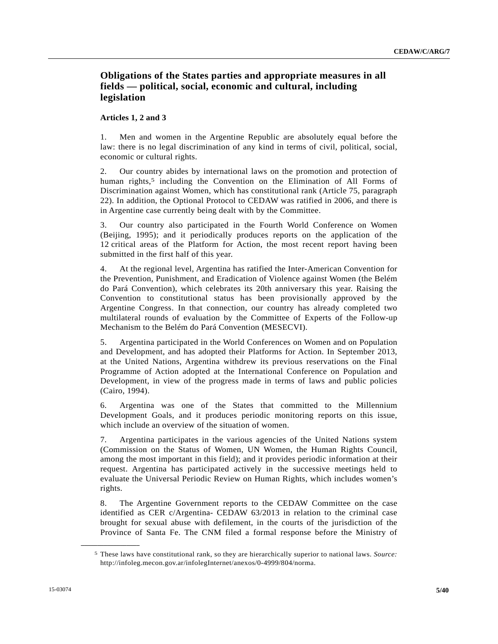# **Obligations of the States parties and appropriate measures in all fields — political, social, economic and cultural, including legislation**

#### **Articles 1, 2 and 3**

1. Men and women in the Argentine Republic are absolutely equal before the law: there is no legal discrimination of any kind in terms of civil, political, social, economic or cultural rights.

2. Our country abides by international laws on the promotion and protection of human rights,<sup>5</sup> including the Convention on the Elimination of All Forms of Discrimination against Women, which has constitutional rank (Article 75, paragraph 22). In addition, the Optional Protocol to CEDAW was ratified in 2006, and there is in Argentine case currently being dealt with by the Committee.

3. Our country also participated in the Fourth World Conference on Women (Beijing, 1995); and it periodically produces reports on the application of the 12 critical areas of the Platform for Action, the most recent report having been submitted in the first half of this year.

4. At the regional level, Argentina has ratified the Inter-American Convention for the Prevention, Punishment, and Eradication of Violence against Women (the Belém do Pará Convention), which celebrates its 20th anniversary this year. Raising the Convention to constitutional status has been provisionally approved by the Argentine Congress. In that connection, our country has already completed two multilateral rounds of evaluation by the Committee of Experts of the Follow-up Mechanism to the Belém do Pará Convention (MESECVI).

5. Argentina participated in the World Conferences on Women and on Population and Development, and has adopted their Platforms for Action. In September 2013, at the United Nations, Argentina withdrew its previous reservations on the Final Programme of Action adopted at the International Conference on Population and Development, in view of the progress made in terms of laws and public policies (Cairo, 1994).

6. Argentina was one of the States that committed to the Millennium Development Goals, and it produces periodic monitoring reports on this issue, which include an overview of the situation of women.

7. Argentina participates in the various agencies of the United Nations system (Commission on the Status of Women, UN Women, the Human Rights Council, among the most important in this field); and it provides periodic information at their request. Argentina has participated actively in the successive meetings held to evaluate the Universal Periodic Review on Human Rights, which includes women's rights.

8. The Argentine Government reports to the CEDAW Committee on the case identified as CER c/Argentina- CEDAW 63/2013 in relation to the criminal case brought for sexual abuse with defilement, in the courts of the jurisdiction of the Province of Santa Fe. The CNM filed a formal response before the Ministry of

<sup>5</sup> These laws have constitutional rank, so they are hierarchically superior to national laws. *Source:* http://infoleg.mecon.gov.ar/infolegInternet/anexos/0-4999/804/norma.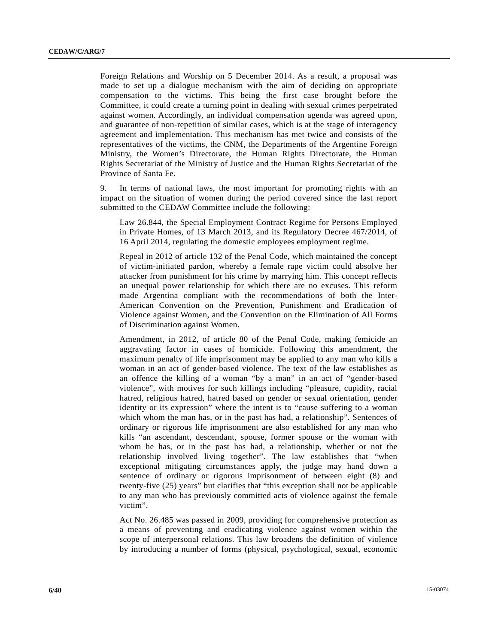Foreign Relations and Worship on 5 December 2014. As a result, a proposal was made to set up a dialogue mechanism with the aim of deciding on appropriate compensation to the victims. This being the first case brought before the Committee, it could create a turning point in dealing with sexual crimes perpetrated against women. Accordingly, an individual compensation agenda was agreed upon, and guarantee of non-repetition of similar cases, which is at the stage of interagency agreement and implementation. This mechanism has met twice and consists of the representatives of the victims, the CNM, the Departments of the Argentine Foreign Ministry, the Women's Directorate, the Human Rights Directorate, the Human Rights Secretariat of the Ministry of Justice and the Human Rights Secretariat of the Province of Santa Fe.

9. In terms of national laws, the most important for promoting rights with an impact on the situation of women during the period covered since the last report submitted to the CEDAW Committee include the following:

 Law 26.844, the Special Employment Contract Regime for Persons Employed in Private Homes, of 13 March 2013, and its Regulatory Decree 467/2014, of 16 April 2014, regulating the domestic employees employment regime.

 Repeal in 2012 of article 132 of the Penal Code, which maintained the concept of victim-initiated pardon, whereby a female rape victim could absolve her attacker from punishment for his crime by marrying him. This concept reflects an unequal power relationship for which there are no excuses. This reform made Argentina compliant with the recommendations of both the Inter-American Convention on the Prevention, Punishment and Eradication of Violence against Women, and the Convention on the Elimination of All Forms of Discrimination against Women.

 Amendment, in 2012, of article 80 of the Penal Code, making femicide an aggravating factor in cases of homicide. Following this amendment, the maximum penalty of life imprisonment may be applied to any man who kills a woman in an act of gender-based violence. The text of the law establishes as an offence the killing of a woman "by a man" in an act of "gender-based violence", with motives for such killings including "pleasure, cupidity, racial hatred, religious hatred, hatred based on gender or sexual orientation, gender identity or its expression" where the intent is to "cause suffering to a woman which whom the man has, or in the past has had, a relationship". Sentences of ordinary or rigorous life imprisonment are also established for any man who kills "an ascendant, descendant, spouse, former spouse or the woman with whom he has, or in the past has had, a relationship, whether or not the relationship involved living together". The law establishes that "when exceptional mitigating circumstances apply, the judge may hand down a sentence of ordinary or rigorous imprisonment of between eight (8) and twenty-five (25) years" but clarifies that "this exception shall not be applicable to any man who has previously committed acts of violence against the female victim".

 Act No. 26.485 was passed in 2009, providing for comprehensive protection as a means of preventing and eradicating violence against women within the scope of interpersonal relations. This law broadens the definition of violence by introducing a number of forms (physical, psychological, sexual, economic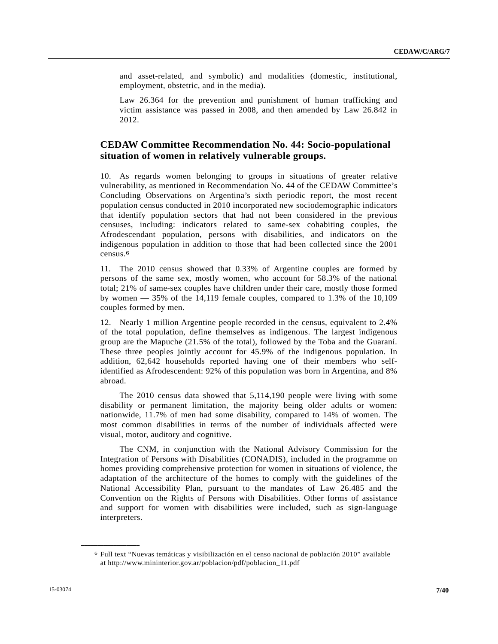and asset-related, and symbolic) and modalities (domestic, institutional, employment, obstetric, and in the media).

 Law 26.364 for the prevention and punishment of human trafficking and victim assistance was passed in 2008, and then amended by Law 26.842 in 2012.

# **CEDAW Committee Recommendation No. 44: Socio-populational situation of women in relatively vulnerable groups.**

10. As regards women belonging to groups in situations of greater relative vulnerability, as mentioned in Recommendation No. 44 of the CEDAW Committee's Concluding Observations on Argentina's sixth periodic report, the most recent population census conducted in 2010 incorporated new sociodemographic indicators that identify population sectors that had not been considered in the previous censuses, including: indicators related to same-sex cohabiting couples, the Afrodescendant population, persons with disabilities, and indicators on the indigenous population in addition to those that had been collected since the 2001 census.6

11. The 2010 census showed that 0.33% of Argentine couples are formed by persons of the same sex, mostly women, who account for 58.3% of the national total; 21% of same-sex couples have children under their care, mostly those formed by women  $-35%$  of the 14,119 female couples, compared to 1.3% of the 10,109 couples formed by men.

12. Nearly 1 million Argentine people recorded in the census, equivalent to 2.4% of the total population, define themselves as indigenous. The largest indigenous group are the Mapuche (21.5% of the total), followed by the Toba and the Guaraní. These three peoples jointly account for 45.9% of the indigenous population. In addition, 62,642 households reported having one of their members who selfidentified as Afrodescendent: 92% of this population was born in Argentina, and 8% abroad.

 The 2010 census data showed that 5,114,190 people were living with some disability or permanent limitation, the majority being older adults or women: nationwide, 11.7% of men had some disability, compared to 14% of women. The most common disabilities in terms of the number of individuals affected were visual, motor, auditory and cognitive.

 The CNM, in conjunction with the National Advisory Commission for the Integration of Persons with Disabilities (CONADIS), included in the programme on homes providing comprehensive protection for women in situations of violence, the adaptation of the architecture of the homes to comply with the guidelines of the National Accessibility Plan, pursuant to the mandates of Law 26.485 and the Convention on the Rights of Persons with Disabilities. Other forms of assistance and support for women with disabilities were included, such as sign-language interpreters.

<sup>6</sup> Full text "Nuevas temáticas y visibilización en el censo nacional de población 2010" available at http://www.mininterior.gov.ar/poblacion/pdf/poblacion\_11.pdf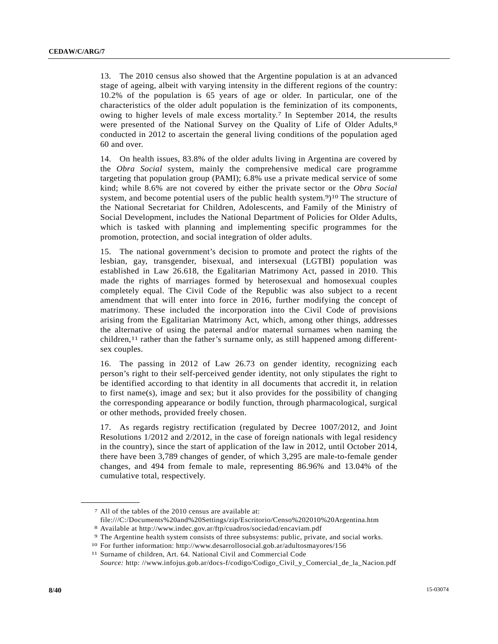13. The 2010 census also showed that the Argentine population is at an advanced stage of ageing, albeit with varying intensity in the different regions of the country: 10.2% of the population is 65 years of age or older. In particular, one of the characteristics of the older adult population is the feminization of its components, owing to higher levels of male excess mortality.<sup>7</sup> In September 2014, the results were presented of the National Survey on the Quality of Life of Older Adults,<sup>8</sup> conducted in 2012 to ascertain the general living conditions of the population aged 60 and over.

14. On health issues, 83.8% of the older adults living in Argentina are covered by the *Obra Social* system, mainly the comprehensive medical care programme targeting that population group (PAMI); 6.8% use a private medical service of some kind; while 8.6% are not covered by either the private sector or the *Obra Social* system, and become potential users of the public health system.<sup>9</sup>)<sup>10</sup> The structure of the National Secretariat for Children, Adolescents, and Family of the Ministry of Social Development, includes the National Department of Policies for Older Adults, which is tasked with planning and implementing specific programmes for the promotion, protection, and social integration of older adults.

15. The national government's decision to promote and protect the rights of the lesbian, gay, transgender, bisexual, and intersexual (LGTBI) population was established in Law 26.618, the Egalitarian Matrimony Act, passed in 2010. This made the rights of marriages formed by heterosexual and homosexual couples completely equal. The Civil Code of the Republic was also subject to a recent amendment that will enter into force in 2016, further modifying the concept of matrimony. These included the incorporation into the Civil Code of provisions arising from the Egalitarian Matrimony Act, which, among other things, addresses the alternative of using the paternal and/or maternal surnames when naming the children,11 rather than the father's surname only, as still happened among differentsex couples.

16. The passing in 2012 of Law 26.73 on gender identity, recognizing each person's right to their self-perceived gender identity, not only stipulates the right to be identified according to that identity in all documents that accredit it, in relation to first name(s), image and sex; but it also provides for the possibility of changing the corresponding appearance or bodily function, through pharmacological, surgical or other methods, provided freely chosen.

17. As regards registry rectification (regulated by Decree 1007/2012, and Joint Resolutions 1/2012 and 2/2012, in the case of foreign nationals with legal residency in the country), since the start of application of the law in 2012, until October 2014, there have been 3,789 changes of gender, of which 3,295 are male-to-female gender changes, and 494 from female to male, representing 86.96% and 13.04% of the cumulative total, respectively.

<sup>7</sup> All of the tables of the 2010 census are available at:

file:///C:/Documents%20and%20Settings/zip/Escritorio/Censo%202010%20Argentina.htm

<sup>8</sup> Available at http://www.indec.gov.ar/ftp/cuadros/sociedad/encaviam.pdf

<sup>9</sup> The Argentine health system consists of three subsystems: public, private, and social works.

<sup>10</sup> For further information: http://www.desarrollosocial.gob.ar/adultosmayores/156 11 Surname of children, Art. 64. National Civil and Commercial Code

*Source:* http: //www.infojus.gob.ar/docs-f/codigo/Codigo\_Civil\_y\_Comercial\_de\_la\_Nacion.pdf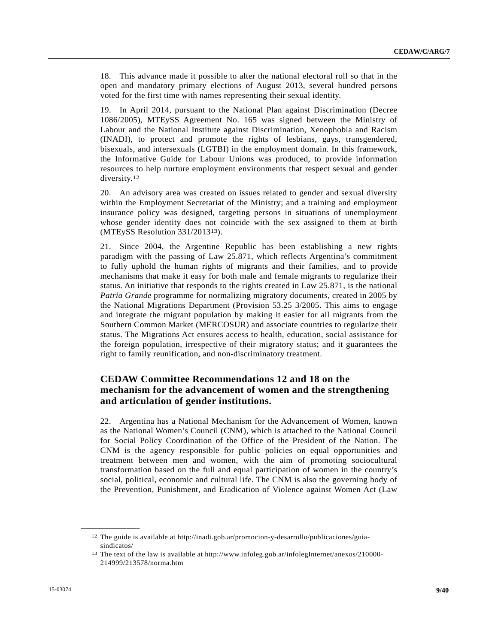18. This advance made it possible to alter the national electoral roll so that in the open and mandatory primary elections of August 2013, several hundred persons voted for the first time with names representing their sexual identity.

19. In April 2014, pursuant to the National Plan against Discrimination (Decree 1086/2005), MTEySS Agreement No. 165 was signed between the Ministry of Labour and the National Institute against Discrimination, Xenophobia and Racism (INADI), to protect and promote the rights of lesbians, gays, transgendered, bisexuals, and intersexuals (LGTBI) in the employment domain. In this framework, the Informative Guide for Labour Unions was produced, to provide information resources to help nurture employment environments that respect sexual and gender diversity.<sup>12</sup>

20. An advisory area was created on issues related to gender and sexual diversity within the Employment Secretariat of the Ministry; and a training and employment insurance policy was designed, targeting persons in situations of unemployment whose gender identity does not coincide with the sex assigned to them at birth (MTEySS Resolution 331/201313).

21. Since 2004, the Argentine Republic has been establishing a new rights paradigm with the passing of Law 25.871, which reflects Argentina's commitment to fully uphold the human rights of migrants and their families, and to provide mechanisms that make it easy for both male and female migrants to regularize their status. An initiative that responds to the rights created in Law 25.871, is the national *Patria Grande* programme for normalizing migratory documents, created in 2005 by the National Migrations Department (Provision 53.25 3/2005. This aims to engage and integrate the migrant population by making it easier for all migrants from the Southern Common Market (MERCOSUR) and associate countries to regularize their status. The Migrations Act ensures access to health, education, social assistance for the foreign population, irrespective of their migratory status; and it guarantees the right to family reunification, and non-discriminatory treatment.

# **CEDAW Committee Recommendations 12 and 18 on the mechanism for the advancement of women and the strengthening and articulation of gender institutions.**

22. Argentina has a National Mechanism for the Advancement of Women, known as the National Women's Council (CNM), which is attached to the National Council for Social Policy Coordination of the Office of the President of the Nation. The CNM is the agency responsible for public policies on equal opportunities and treatment between men and women, with the aim of promoting sociocultural transformation based on the full and equal participation of women in the country's social, political, economic and cultural life. The CNM is also the governing body of the Prevention, Punishment, and Eradication of Violence against Women Act (Law

<sup>12</sup> The guide is available at http://inadi.gob.ar/promocion-y-desarrollo/publicaciones/guia-

sindicatos/<br><sup>13</sup> The text of the law is available at http://www.infoleg.gob.ar/infolegInternet/anexos/210000-214999/213578/norma.htm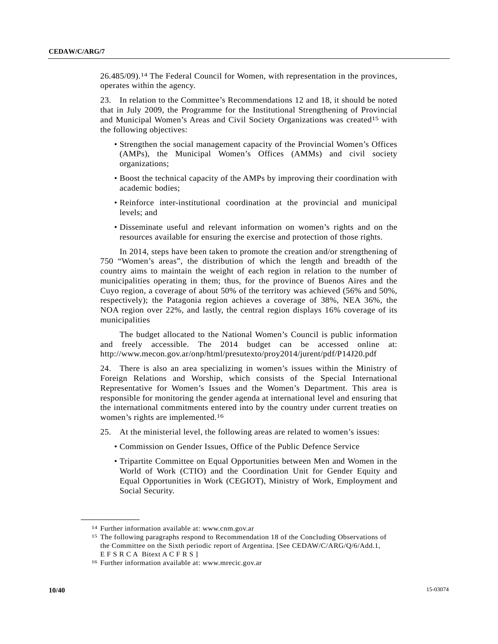26.485/09).14 The Federal Council for Women, with representation in the provinces, operates within the agency.

23. In relation to the Committee's Recommendations 12 and 18, it should be noted that in July 2009, the Programme for the Institutional Strengthening of Provincial and Municipal Women's Areas and Civil Society Organizations was created15 with the following objectives:

- Strengthen the social management capacity of the Provincial Women's Offices (AMPs), the Municipal Women's Offices (AMMs) and civil society organizations;
- Boost the technical capacity of the AMPs by improving their coordination with academic bodies;
- Reinforce inter-institutional coordination at the provincial and municipal levels; and
- Disseminate useful and relevant information on women's rights and on the resources available for ensuring the exercise and protection of those rights.

 In 2014, steps have been taken to promote the creation and/or strengthening of 750 "Women's areas", the distribution of which the length and breadth of the country aims to maintain the weight of each region in relation to the number of municipalities operating in them; thus, for the province of Buenos Aires and the Cuyo region, a coverage of about 50% of the territory was achieved (56% and 50%, respectively); the Patagonia region achieves a coverage of 38%, NEA 36%, the NOA region over 22%, and lastly, the central region displays 16% coverage of its municipalities

 The budget allocated to the National Women's Council is public information and freely accessible. The 2014 budget can be accessed online at: http://www.mecon.gov.ar/onp/html/presutexto/proy2014/jurent/pdf/P14J20.pdf

24. There is also an area specializing in women's issues within the Ministry of Foreign Relations and Worship, which consists of the Special International Representative for Women's Issues and the Women's Department. This area is responsible for monitoring the gender agenda at international level and ensuring that the international commitments entered into by the country under current treaties on women's rights are implemented.16

- 25. At the ministerial level, the following areas are related to women's issues:
	- Commission on Gender Issues, Office of the Public Defence Service
	- Tripartite Committee on Equal Opportunities between Men and Women in the World of Work (CTIO) and the Coordination Unit for Gender Equity and Equal Opportunities in Work (CEGIOT), Ministry of Work, Employment and Social Security.

<sup>14</sup> Further information available at: www.cnm.gov.ar

<sup>15</sup> The following paragraphs respond to Recommendation 18 of the Concluding Observations of the Committee on the Sixth periodic report of Argentina. [See CEDAW/C/ARG/Q/6/Add.1, E F S R C A Bitext A C F R S ] 16 Further information available at: www.mrecic.gov.ar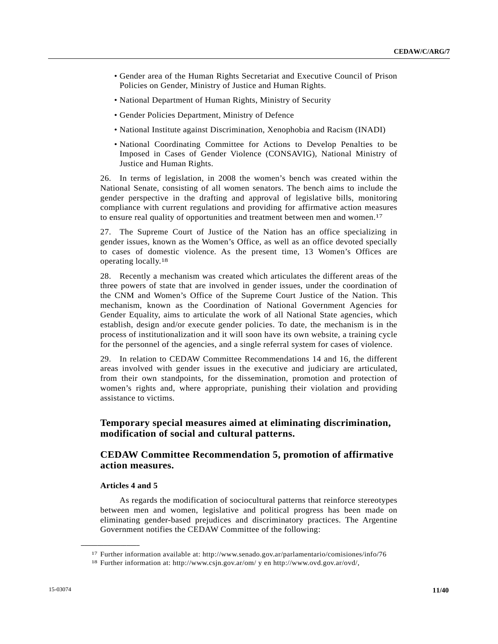- Gender area of the Human Rights Secretariat and Executive Council of Prison Policies on Gender, Ministry of Justice and Human Rights.
- National Department of Human Rights, Ministry of Security
- Gender Policies Department, Ministry of Defence
- National Institute against Discrimination, Xenophobia and Racism (INADI)
- National Coordinating Committee for Actions to Develop Penalties to be Imposed in Cases of Gender Violence (CONSAVIG), National Ministry of Justice and Human Rights.

26. In terms of legislation, in 2008 the women's bench was created within the National Senate, consisting of all women senators. The bench aims to include the gender perspective in the drafting and approval of legislative bills, monitoring compliance with current regulations and providing for affirmative action measures to ensure real quality of opportunities and treatment between men and women.17

27. The Supreme Court of Justice of the Nation has an office specializing in gender issues, known as the Women's Office, as well as an office devoted specially to cases of domestic violence. As the present time, 13 Women's Offices are operating locally.18

28. Recently a mechanism was created which articulates the different areas of the three powers of state that are involved in gender issues, under the coordination of the CNM and Women's Office of the Supreme Court Justice of the Nation. This mechanism, known as the Coordination of National Government Agencies for Gender Equality, aims to articulate the work of all National State agencies, which establish, design and/or execute gender policies. To date, the mechanism is in the process of institutionalization and it will soon have its own website, a training cycle for the personnel of the agencies, and a single referral system for cases of violence.

29. In relation to CEDAW Committee Recommendations 14 and 16, the different areas involved with gender issues in the executive and judiciary are articulated, from their own standpoints, for the dissemination, promotion and protection of women's rights and, where appropriate, punishing their violation and providing assistance to victims.

# **Temporary special measures aimed at eliminating discrimination, modification of social and cultural patterns.**

# **CEDAW Committee Recommendation 5, promotion of affirmative action measures.**

#### **Articles 4 and 5**

**\_\_\_\_\_\_\_\_\_\_\_\_\_\_\_\_\_\_** 

 As regards the modification of sociocultural patterns that reinforce stereotypes between men and women, legislative and political progress has been made on eliminating gender-based prejudices and discriminatory practices. The Argentine Government notifies the CEDAW Committee of the following:

<sup>17</sup> Further information available at: http://www.senado.gov.ar/parlamentario/comisiones/info/76 18 Further information at: http://www.csjn.gov.ar/om/ y en http://www.ovd.gov.ar/ovd/,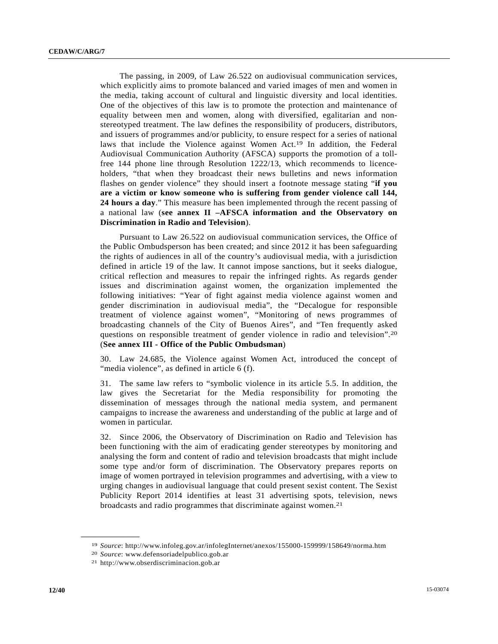The passing, in 2009, of Law 26.522 on audiovisual communication services, which explicitly aims to promote balanced and varied images of men and women in the media, taking account of cultural and linguistic diversity and local identities. One of the objectives of this law is to promote the protection and maintenance of equality between men and women, along with diversified, egalitarian and nonstereotyped treatment. The law defines the responsibility of producers, distributors, and issuers of programmes and/or publicity, to ensure respect for a series of national laws that include the Violence against Women Act.19 In addition, the Federal Audiovisual Communication Authority (AFSCA) supports the promotion of a tollfree 144 phone line through Resolution 1222/13, which recommends to licenceholders, "that when they broadcast their news bulletins and news information flashes on gender violence" they should insert a footnote message stating "**if you are a victim or know someone who is suffering from gender violence call 144, 24 hours a day**." This measure has been implemented through the recent passing of a national law (**see annex II –AFSCA information and the Observatory on Discrimination in Radio and Television**).

 Pursuant to Law 26.522 on audiovisual communication services, the Office of the Public Ombudsperson has been created; and since 2012 it has been safeguarding the rights of audiences in all of the country's audiovisual media, with a jurisdiction defined in article 19 of the law. It cannot impose sanctions, but it seeks dialogue, critical reflection and measures to repair the infringed rights. As regards gender issues and discrimination against women, the organization implemented the following initiatives: "Year of fight against media violence against women and gender discrimination in audiovisual media", the "Decalogue for responsible treatment of violence against women", "Monitoring of news programmes of broadcasting channels of the City of Buenos Aires", and "Ten frequently asked questions on responsible treatment of gender violence in radio and television".20 (**See annex III - Office of the Public Ombudsman**)

30. Law 24.685, the Violence against Women Act, introduced the concept of "media violence", as defined in article 6 (f).

31. The same law refers to "symbolic violence in its article 5.5. In addition, the law gives the Secretariat for the Media responsibility for promoting the dissemination of messages through the national media system, and permanent campaigns to increase the awareness and understanding of the public at large and of women in particular.

32. Since 2006, the Observatory of Discrimination on Radio and Television has been functioning with the aim of eradicating gender stereotypes by monitoring and analysing the form and content of radio and television broadcasts that might include some type and/or form of discrimination. The Observatory prepares reports on image of women portrayed in television programmes and advertising, with a view to urging changes in audiovisual language that could present sexist content. The Sexist Publicity Report 2014 identifies at least 31 advertising spots, television, news broadcasts and radio programmes that discriminate against women.21

<sup>19</sup> *Source*: http://www.infoleg.gov.ar/infolegInternet/anexos/155000-159999/158649/norma.htm 20 *Source*: www.defensoriadelpublico.gob.ar 21 http://www.obserdiscriminacion.gob.ar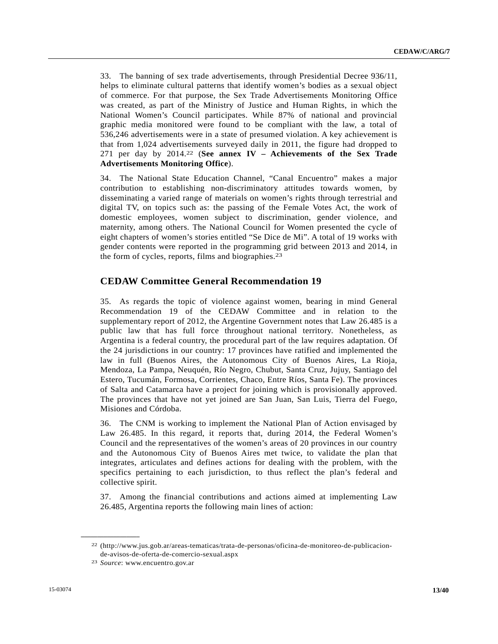33. The banning of sex trade advertisements, through Presidential Decree 936/11, helps to eliminate cultural patterns that identify women's bodies as a sexual object of commerce. For that purpose, the Sex Trade Advertisements Monitoring Office was created, as part of the Ministry of Justice and Human Rights, in which the National Women's Council participates. While 87% of national and provincial graphic media monitored were found to be compliant with the law, a total of 536,246 advertisements were in a state of presumed violation. A key achievement is that from 1,024 advertisements surveyed daily in 2011, the figure had dropped to 271 per day by 2014.22 (**See annex IV – Achievements of the Sex Trade Advertisements Monitoring Office**).

34. The National State Education Channel, "Canal Encuentro" makes a major contribution to establishing non-discriminatory attitudes towards women, by disseminating a varied range of materials on women's rights through terrestrial and digital TV, on topics such as: the passing of the Female Votes Act, the work of domestic employees, women subject to discrimination, gender violence, and maternity, among others. The National Council for Women presented the cycle of eight chapters of women's stories entitled "Se Dice de Mi". A total of 19 works with gender contents were reported in the programming grid between 2013 and 2014, in the form of cycles, reports, films and biographies.23

# **CEDAW Committee General Recommendation 19**

35. As regards the topic of violence against women, bearing in mind General Recommendation 19 of the CEDAW Committee and in relation to the supplementary report of 2012, the Argentine Government notes that Law 26.485 is a public law that has full force throughout national territory. Nonetheless, as Argentina is a federal country, the procedural part of the law requires adaptation. Of the 24 jurisdictions in our country: 17 provinces have ratified and implemented the law in full (Buenos Aires, the Autonomous City of Buenos Aires, La Rioja, Mendoza, La Pampa, Neuquén, Río Negro, Chubut, Santa Cruz, Jujuy, Santiago del Estero, Tucumán, Formosa, Corrientes, Chaco, Entre Ríos, Santa Fe). The provinces of Salta and Catamarca have a project for joining which is provisionally approved. The provinces that have not yet joined are San Juan, San Luis, Tierra del Fuego, Misiones and Córdoba.

36. The CNM is working to implement the National Plan of Action envisaged by Law 26.485. In this regard, it reports that, during 2014, the Federal Women's Council and the representatives of the women's areas of 20 provinces in our country and the Autonomous City of Buenos Aires met twice, to validate the plan that integrates, articulates and defines actions for dealing with the problem, with the specifics pertaining to each jurisdiction, to thus reflect the plan's federal and collective spirit.

37. Among the financial contributions and actions aimed at implementing Law 26.485, Argentina reports the following main lines of action:

<sup>22 (</sup>http://www.jus.gob.ar/areas-tematicas/trata-de-personas/oficina-de-monitoreo-de-publicacionde-avisos-de-oferta-de-comercio-sexual.aspx 23 *Source*: www.encuentro.gov.ar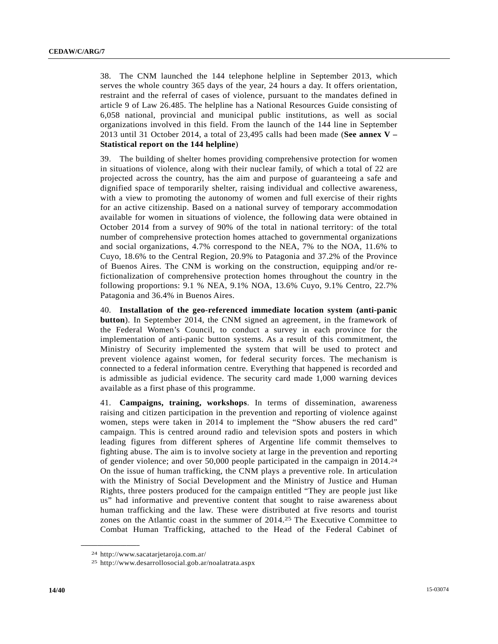38. The CNM launched the 144 telephone helpline in September 2013, which serves the whole country 365 days of the year, 24 hours a day. It offers orientation, restraint and the referral of cases of violence, pursuant to the mandates defined in article 9 of Law 26.485. The helpline has a National Resources Guide consisting of 6,058 national, provincial and municipal public institutions, as well as social organizations involved in this field. From the launch of the 144 line in September 2013 until 31 October 2014, a total of 23,495 calls had been made (**See annex V – Statistical report on the 144 helpline**)

39. The building of shelter homes providing comprehensive protection for women in situations of violence, along with their nuclear family, of which a total of 22 are projected across the country, has the aim and purpose of guaranteeing a safe and dignified space of temporarily shelter, raising individual and collective awareness, with a view to promoting the autonomy of women and full exercise of their rights for an active citizenship. Based on a national survey of temporary accommodation available for women in situations of violence, the following data were obtained in October 2014 from a survey of 90% of the total in national territory: of the total number of comprehensive protection homes attached to governmental organizations and social organizations, 4.7% correspond to the NEA, 7% to the NOA, 11.6% to Cuyo, 18.6% to the Central Region, 20.9% to Patagonia and 37.2% of the Province of Buenos Aires. The CNM is working on the construction, equipping and/or refictionalization of comprehensive protection homes throughout the country in the following proportions: 9.1 % NEA, 9.1% NOA, 13.6% Cuyo, 9.1% Centro, 22.7% Patagonia and 36.4% in Buenos Aires.

40. **Installation of the geo-referenced immediate location system (anti-panic button**). In September 2014, the CNM signed an agreement, in the framework of the Federal Women's Council, to conduct a survey in each province for the implementation of anti-panic button systems. As a result of this commitment, the Ministry of Security implemented the system that will be used to protect and prevent violence against women, for federal security forces. The mechanism is connected to a federal information centre. Everything that happened is recorded and is admissible as judicial evidence. The security card made 1,000 warning devices available as a first phase of this programme.

41. **Campaigns, training, workshops**. In terms of dissemination, awareness raising and citizen participation in the prevention and reporting of violence against women, steps were taken in 2014 to implement the "Show abusers the red card" campaign. This is centred around radio and television spots and posters in which leading figures from different spheres of Argentine life commit themselves to fighting abuse. The aim is to involve society at large in the prevention and reporting of gender violence; and over 50,000 people participated in the campaign in 2014.24 On the issue of human trafficking, the CNM plays a preventive role. In articulation with the Ministry of Social Development and the Ministry of Justice and Human Rights, three posters produced for the campaign entitled "They are people just like us" had informative and preventive content that sought to raise awareness about human trafficking and the law. These were distributed at five resorts and tourist zones on the Atlantic coast in the summer of 2014.25 The Executive Committee to Combat Human Trafficking, attached to the Head of the Federal Cabinet of

<sup>24</sup> http://www.sacatarjetaroja.com.ar/

<sup>25</sup> http://www.desarrollosocial.gob.ar/noalatrata.aspx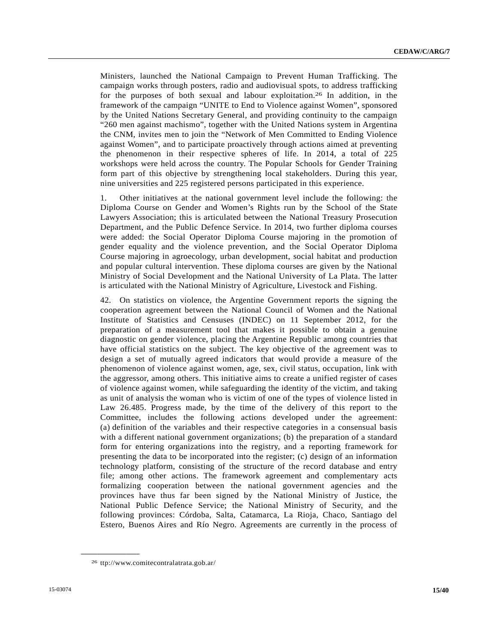Ministers, launched the National Campaign to Prevent Human Trafficking. The campaign works through posters, radio and audiovisual spots, to address trafficking for the purposes of both sexual and labour exploitation.26 In addition, in the framework of the campaign "UNITE to End to Violence against Women", sponsored by the United Nations Secretary General, and providing continuity to the campaign "260 men against machismo", together with the United Nations system in Argentina the CNM, invites men to join the "Network of Men Committed to Ending Violence against Women", and to participate proactively through actions aimed at preventing the phenomenon in their respective spheres of life. In 2014, a total of 225 workshops were held across the country. The Popular Schools for Gender Training form part of this objective by strengthening local stakeholders. During this year, nine universities and 225 registered persons participated in this experience.

1. Other initiatives at the national government level include the following: the Diploma Course on Gender and Women's Rights run by the School of the State Lawyers Association; this is articulated between the National Treasury Prosecution Department, and the Public Defence Service. In 2014, two further diploma courses were added: the Social Operator Diploma Course majoring in the promotion of gender equality and the violence prevention, and the Social Operator Diploma Course majoring in agroecology, urban development, social habitat and production and popular cultural intervention. These diploma courses are given by the National Ministry of Social Development and the National University of La Plata. The latter is articulated with the National Ministry of Agriculture, Livestock and Fishing.

42. On statistics on violence, the Argentine Government reports the signing the cooperation agreement between the National Council of Women and the National Institute of Statistics and Censuses (INDEC) on 11 September 2012, for the preparation of a measurement tool that makes it possible to obtain a genuine diagnostic on gender violence, placing the Argentine Republic among countries that have official statistics on the subject. The key objective of the agreement was to design a set of mutually agreed indicators that would provide a measure of the phenomenon of violence against women, age, sex, civil status, occupation, link with the aggressor, among others. This initiative aims to create a unified register of cases of violence against women, while safeguarding the identity of the victim, and taking as unit of analysis the woman who is victim of one of the types of violence listed in Law 26.485. Progress made, by the time of the delivery of this report to the Committee, includes the following actions developed under the agreement: (a) definition of the variables and their respective categories in a consensual basis with a different national government organizations; (b) the preparation of a standard form for entering organizations into the registry, and a reporting framework for presenting the data to be incorporated into the register; (c) design of an information technology platform, consisting of the structure of the record database and entry file; among other actions. The framework agreement and complementary acts formalizing cooperation between the national government agencies and the provinces have thus far been signed by the National Ministry of Justice, the National Public Defence Service; the National Ministry of Security, and the following provinces: Córdoba, Salta, Catamarca, La Rioja, Chaco, Santiago del Estero, Buenos Aires and Río Negro. Agreements are currently in the process of

<sup>26</sup> ttp://www.comitecontralatrata.gob.ar/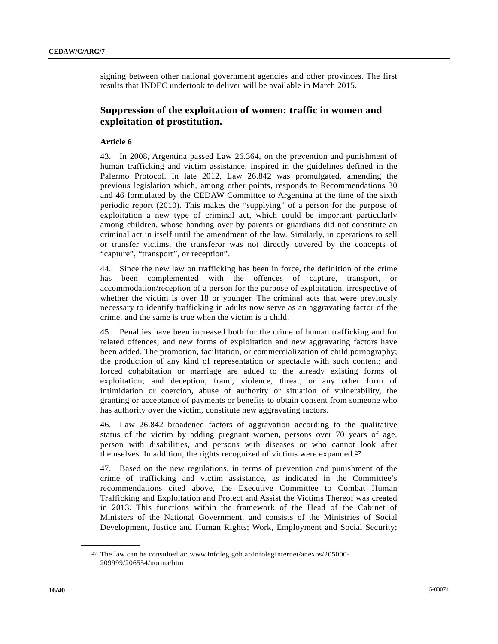signing between other national government agencies and other provinces. The first results that INDEC undertook to deliver will be available in March 2015.

# **Suppression of the exploitation of women: traffic in women and exploitation of prostitution.**

### **Article 6**

43. In 2008, Argentina passed Law 26.364, on the prevention and punishment of human trafficking and victim assistance, inspired in the guidelines defined in the Palermo Protocol. In late 2012, Law 26.842 was promulgated, amending the previous legislation which, among other points, responds to Recommendations 30 and 46 formulated by the CEDAW Committee to Argentina at the time of the sixth periodic report (2010). This makes the "supplying" of a person for the purpose of exploitation a new type of criminal act, which could be important particularly among children, whose handing over by parents or guardians did not constitute an criminal act in itself until the amendment of the law. Similarly, in operations to sell or transfer victims, the transferor was not directly covered by the concepts of "capture", "transport", or reception".

44. Since the new law on trafficking has been in force, the definition of the crime has been complemented with the offences of capture, transport, or accommodation/reception of a person for the purpose of exploitation, irrespective of whether the victim is over 18 or younger. The criminal acts that were previously necessary to identify trafficking in adults now serve as an aggravating factor of the crime, and the same is true when the victim is a child.

45. Penalties have been increased both for the crime of human trafficking and for related offences; and new forms of exploitation and new aggravating factors have been added. The promotion, facilitation, or commercialization of child pornography; the production of any kind of representation or spectacle with such content; and forced cohabitation or marriage are added to the already existing forms of exploitation; and deception, fraud, violence, threat, or any other form of intimidation or coercion, abuse of authority or situation of vulnerability, the granting or acceptance of payments or benefits to obtain consent from someone who has authority over the victim, constitute new aggravating factors.

46. Law 26.842 broadened factors of aggravation according to the qualitative status of the victim by adding pregnant women, persons over 70 years of age, person with disabilities, and persons with diseases or who cannot look after themselves. In addition, the rights recognized of victims were expanded.27

47. Based on the new regulations, in terms of prevention and punishment of the crime of trafficking and victim assistance, as indicated in the Committee's recommendations cited above, the Executive Committee to Combat Human Trafficking and Exploitation and Protect and Assist the Victims Thereof was created in 2013. This functions within the framework of the Head of the Cabinet of Ministers of the National Government, and consists of the Ministries of Social Development, Justice and Human Rights; Work, Employment and Social Security;

<sup>27</sup> The law can be consulted at: www.infoleg.gob.ar/infolegInternet/anexos/205000- 209999/206554/norma/htm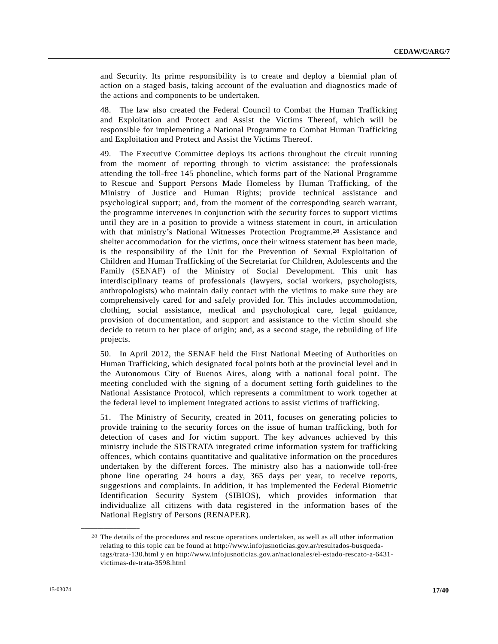and Security. Its prime responsibility is to create and deploy a biennial plan of action on a staged basis, taking account of the evaluation and diagnostics made of the actions and components to be undertaken.

48. The law also created the Federal Council to Combat the Human Trafficking and Exploitation and Protect and Assist the Victims Thereof, which will be responsible for implementing a National Programme to Combat Human Trafficking and Exploitation and Protect and Assist the Victims Thereof.

49. The Executive Committee deploys its actions throughout the circuit running from the moment of reporting through to victim assistance: the professionals attending the toll-free 145 phoneline, which forms part of the National Programme to Rescue and Support Persons Made Homeless by Human Trafficking, of the Ministry of Justice and Human Rights; provide technical assistance and psychological support; and, from the moment of the corresponding search warrant, the programme intervenes in conjunction with the security forces to support victims until they are in a position to provide a witness statement in court, in articulation with that ministry's National Witnesses Protection Programme.28 Assistance and shelter accommodation for the victims, once their witness statement has been made, is the responsibility of the Unit for the Prevention of Sexual Exploitation of Children and Human Trafficking of the Secretariat for Children, Adolescents and the Family (SENAF) of the Ministry of Social Development. This unit has interdisciplinary teams of professionals (lawyers, social workers, psychologists, anthropologists) who maintain daily contact with the victims to make sure they are comprehensively cared for and safely provided for. This includes accommodation, clothing, social assistance, medical and psychological care, legal guidance, provision of documentation, and support and assistance to the victim should she decide to return to her place of origin; and, as a second stage, the rebuilding of life projects.

50. In April 2012, the SENAF held the First National Meeting of Authorities on Human Trafficking, which designated focal points both at the provincial level and in the Autonomous City of Buenos Aires, along with a national focal point. The meeting concluded with the signing of a document setting forth guidelines to the National Assistance Protocol, which represents a commitment to work together at the federal level to implement integrated actions to assist victims of trafficking.

51. The Ministry of Security, created in 2011, focuses on generating policies to provide training to the security forces on the issue of human trafficking, both for detection of cases and for victim support. The key advances achieved by this ministry include the SISTRATA integrated crime information system for trafficking offences, which contains quantitative and qualitative information on the procedures undertaken by the different forces. The ministry also has a nationwide toll-free phone line operating 24 hours a day, 365 days per year, to receive reports, suggestions and complaints. In addition, it has implemented the Federal Biometric Identification Security System (SIBIOS), which provides information that individualize all citizens with data registered in the information bases of the National Registry of Persons (RENAPER).

<sup>28</sup> The details of the procedures and rescue operations undertaken, as well as all other information relating to this topic can be found at http://www.infojusnoticias.gov.ar/resultados-busquedatags/trata-130.html y en http://www.infojusnoticias.gov.ar/nacionales/el-estado-rescato-a-6431 victimas-de-trata-3598.html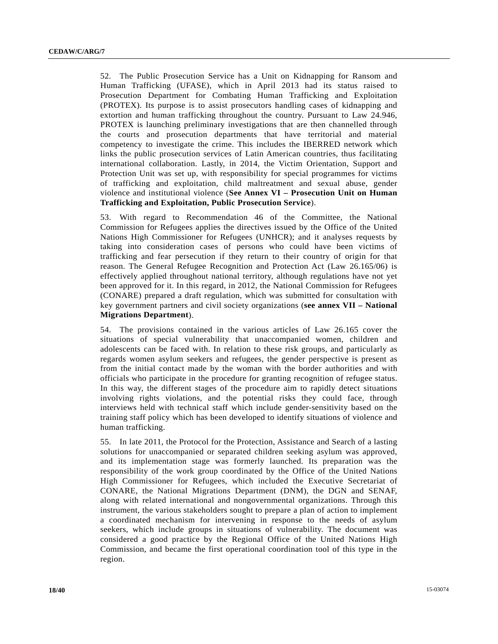52. The Public Prosecution Service has a Unit on Kidnapping for Ransom and Human Trafficking (UFASE), which in April 2013 had its status raised to Prosecution Department for Combating Human Trafficking and Exploitation (PROTEX). Its purpose is to assist prosecutors handling cases of kidnapping and extortion and human trafficking throughout the country. Pursuant to Law 24.946, PROTEX is launching preliminary investigations that are then channelled through the courts and prosecution departments that have territorial and material competency to investigate the crime. This includes the IBERRED network which links the public prosecution services of Latin American countries, thus facilitating international collaboration. Lastly, in 2014, the Victim Orientation, Support and Protection Unit was set up, with responsibility for special programmes for victims of trafficking and exploitation, child maltreatment and sexual abuse, gender violence and institutional violence (**See Annex VI – Prosecution Unit on Human Trafficking and Exploitation, Public Prosecution Service**).

53. With regard to Recommendation 46 of the Committee, the National Commission for Refugees applies the directives issued by the Office of the United Nations High Commissioner for Refugees (UNHCR); and it analyses requests by taking into consideration cases of persons who could have been victims of trafficking and fear persecution if they return to their country of origin for that reason. The General Refugee Recognition and Protection Act (Law 26.165/06) is effectively applied throughout national territory, although regulations have not yet been approved for it. In this regard, in 2012, the National Commission for Refugees (CONARE) prepared a draft regulation, which was submitted for consultation with key government partners and civil society organizations (**see annex VII – National Migrations Department**).

54. The provisions contained in the various articles of Law 26.165 cover the situations of special vulnerability that unaccompanied women, children and adolescents can be faced with. In relation to these risk groups, and particularly as regards women asylum seekers and refugees, the gender perspective is present as from the initial contact made by the woman with the border authorities and with officials who participate in the procedure for granting recognition of refugee status. In this way, the different stages of the procedure aim to rapidly detect situations involving rights violations, and the potential risks they could face, through interviews held with technical staff which include gender-sensitivity based on the training staff policy which has been developed to identify situations of violence and human trafficking.

55. In late 2011, the Protocol for the Protection, Assistance and Search of a lasting solutions for unaccompanied or separated children seeking asylum was approved, and its implementation stage was formerly launched. Its preparation was the responsibility of the work group coordinated by the Office of the United Nations High Commissioner for Refugees, which included the Executive Secretariat of CONARE, the National Migrations Department (DNM), the DGN and SENAF, along with related international and nongovernmental organizations. Through this instrument, the various stakeholders sought to prepare a plan of action to implement a coordinated mechanism for intervening in response to the needs of asylum seekers, which include groups in situations of vulnerability. The document was considered a good practice by the Regional Office of the United Nations High Commission, and became the first operational coordination tool of this type in the region.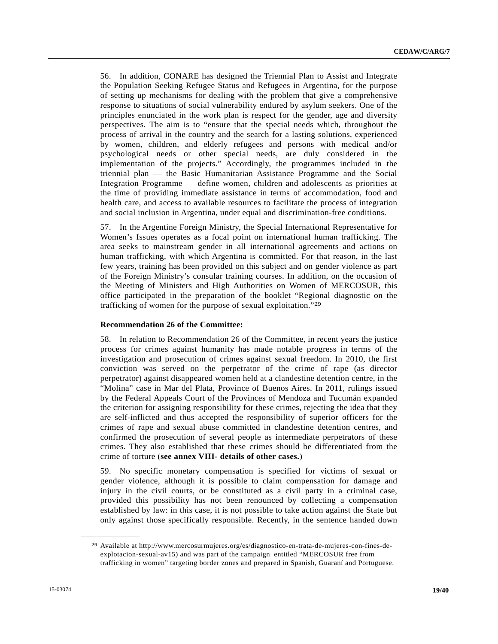56. In addition, CONARE has designed the Triennial Plan to Assist and Integrate the Population Seeking Refugee Status and Refugees in Argentina, for the purpose of setting up mechanisms for dealing with the problem that give a comprehensive response to situations of social vulnerability endured by asylum seekers. One of the principles enunciated in the work plan is respect for the gender, age and diversity perspectives. The aim is to "ensure that the special needs which, throughout the process of arrival in the country and the search for a lasting solutions, experienced by women, children, and elderly refugees and persons with medical and/or psychological needs or other special needs, are duly considered in the implementation of the projects." Accordingly, the programmes included in the triennial plan — the Basic Humanitarian Assistance Programme and the Social Integration Programme — define women, children and adolescents as priorities at the time of providing immediate assistance in terms of accommodation, food and health care, and access to available resources to facilitate the process of integration and social inclusion in Argentina, under equal and discrimination-free conditions.

57. In the Argentine Foreign Ministry, the Special International Representative for Women's Issues operates as a focal point on international human trafficking. The area seeks to mainstream gender in all international agreements and actions on human trafficking, with which Argentina is committed. For that reason, in the last few years, training has been provided on this subject and on gender violence as part of the Foreign Ministry's consular training courses. In addition, on the occasion of the Meeting of Ministers and High Authorities on Women of MERCOSUR, this office participated in the preparation of the booklet "Regional diagnostic on the trafficking of women for the purpose of sexual exploitation."29

### **Recommendation 26 of the Committee:**

58. In relation to Recommendation 26 of the Committee, in recent years the justice process for crimes against humanity has made notable progress in terms of the investigation and prosecution of crimes against sexual freedom. In 2010, the first conviction was served on the perpetrator of the crime of rape (as director perpetrator) against disappeared women held at a clandestine detention centre, in the "Molina" case in Mar del Plata, Province of Buenos Aires. In 2011, rulings issued by the Federal Appeals Court of the Provinces of Mendoza and Tucumán expanded the criterion for assigning responsibility for these crimes, rejecting the idea that they are self-inflicted and thus accepted the responsibility of superior officers for the crimes of rape and sexual abuse committed in clandestine detention centres, and confirmed the prosecution of several people as intermediate perpetrators of these crimes. They also established that these crimes should be differentiated from the crime of torture (**see annex VIII- details of other cases.**)

59. No specific monetary compensation is specified for victims of sexual or gender violence, although it is possible to claim compensation for damage and injury in the civil courts, or be constituted as a civil party in a criminal case, provided this possibility has not been renounced by collecting a compensation established by law: in this case, it is not possible to take action against the State but only against those specifically responsible. Recently, in the sentence handed down

<sup>29</sup> Available at http://www.mercosurmujeres.org/es/diagnostico-en-trata-de-mujeres-con-fines-deexplotacion-sexual-av15) and was part of the campaign entitled "MERCOSUR free from trafficking in women" targeting border zones and prepared in Spanish, Guaraní and Portuguese.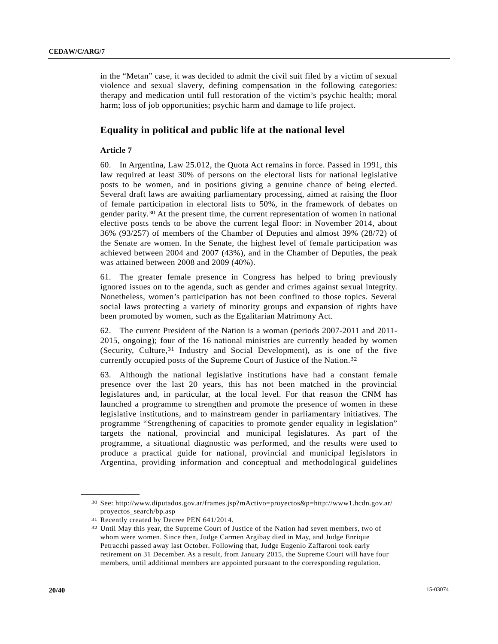in the "Metan" case, it was decided to admit the civil suit filed by a victim of sexual violence and sexual slavery, defining compensation in the following categories: therapy and medication until full restoration of the victim's psychic health; moral harm; loss of job opportunities; psychic harm and damage to life project.

# **Equality in political and public life at the national level**

### **Article 7**

60. In Argentina, Law 25.012, the Quota Act remains in force. Passed in 1991, this law required at least 30% of persons on the electoral lists for national legislative posts to be women, and in positions giving a genuine chance of being elected. Several draft laws are awaiting parliamentary processing, aimed at raising the floor of female participation in electoral lists to 50%, in the framework of debates on gender parity.30 At the present time, the current representation of women in national elective posts tends to be above the current legal floor: in November 2014, about 36% (93/257) of members of the Chamber of Deputies and almost 39% (28/72) of the Senate are women. In the Senate, the highest level of female participation was achieved between 2004 and 2007 (43%), and in the Chamber of Deputies, the peak was attained between 2008 and 2009 (40%).

61. The greater female presence in Congress has helped to bring previously ignored issues on to the agenda, such as gender and crimes against sexual integrity. Nonetheless, women's participation has not been confined to those topics. Several social laws protecting a variety of minority groups and expansion of rights have been promoted by women, such as the Egalitarian Matrimony Act.

62. The current President of the Nation is a woman (periods 2007-2011 and 2011- 2015, ongoing); four of the 16 national ministries are currently headed by women (Security, Culture,31 Industry and Social Development), as is one of the five currently occupied posts of the Supreme Court of Justice of the Nation.32

63. Although the national legislative institutions have had a constant female presence over the last 20 years, this has not been matched in the provincial legislatures and, in particular, at the local level. For that reason the CNM has launched a programme to strengthen and promote the presence of women in these legislative institutions, and to mainstream gender in parliamentary initiatives. The programme "Strengthening of capacities to promote gender equality in legislation" targets the national, provincial and municipal legislatures. As part of the programme, a situational diagnostic was performed, and the results were used to produce a practical guide for national, provincial and municipal legislators in Argentina, providing information and conceptual and methodological guidelines

<sup>30</sup> See: http://www.diputados.gov.ar/frames.jsp?mActivo=proyectos&p=http://www1.hcdn.gov.ar/ proyectos\_search/bp.asp

<sup>31</sup> Recently created by Decree PEN 641/2014.

<sup>32</sup> Until May this year, the Supreme Court of Justice of the Nation had seven members, two of whom were women. Since then, Judge Carmen Argibay died in May, and Judge Enrique Petracchi passed away last October. Following that, Judge Eugenio Zaffaroni took early retirement on 31 December. As a result, from January 2015, the Supreme Court will have four members, until additional members are appointed pursuant to the corresponding regulation.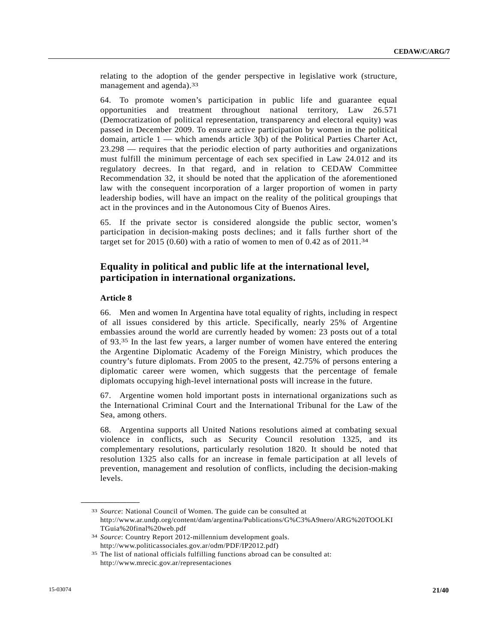relating to the adoption of the gender perspective in legislative work (structure, management and agenda).<sup>33</sup>

64. To promote women's participation in public life and guarantee equal opportunities and treatment throughout national territory, Law 26.571 (Democratization of political representation, transparency and electoral equity) was passed in December 2009. To ensure active participation by women in the political domain, article 1 — which amends article 3(b) of the Political Parties Charter Act, 23.298 — requires that the periodic election of party authorities and organizations must fulfill the minimum percentage of each sex specified in Law 24.012 and its regulatory decrees. In that regard, and in relation to CEDAW Committee Recommendation 32, it should be noted that the application of the aforementioned law with the consequent incorporation of a larger proportion of women in party leadership bodies, will have an impact on the reality of the political groupings that act in the provinces and in the Autonomous City of Buenos Aires.

65. If the private sector is considered alongside the public sector, women's participation in decision-making posts declines; and it falls further short of the target set for 2015 (0.60) with a ratio of women to men of 0.42 as of  $2011.^{34}$ 

# **Equality in political and public life at the international level, participation in international organizations.**

### **Article 8**

**\_\_\_\_\_\_\_\_\_\_\_\_\_\_\_\_\_\_** 

66. Men and women In Argentina have total equality of rights, including in respect of all issues considered by this article. Specifically, nearly 25% of Argentine embassies around the world are currently headed by women: 23 posts out of a total of 93.35 In the last few years, a larger number of women have entered the entering the Argentine Diplomatic Academy of the Foreign Ministry, which produces the country's future diplomats. From 2005 to the present, 42.75% of persons entering a diplomatic career were women, which suggests that the percentage of female diplomats occupying high-level international posts will increase in the future.

67. Argentine women hold important posts in international organizations such as the International Criminal Court and the International Tribunal for the Law of the Sea, among others.

68. Argentina supports all United Nations resolutions aimed at combating sexual violence in conflicts, such as Security Council resolution 1325, and its complementary resolutions, particularly resolution 1820. It should be noted that resolution 1325 also calls for an increase in female participation at all levels of prevention, management and resolution of conflicts, including the decision-making levels.

<sup>33</sup> *Source*: National Council of Women. The guide can be consulted at http://www.ar.undp.org/content/dam/argentina/Publications/G%C3%A9nero/ARG%20TOOLKI TGuia%20final%20web.pdf 34 *Source*: Country Report 2012-millennium development goals.

http://www.politicassociales.gov.ar/odm/PDF/IP2012.pdf)<br><sup>35</sup> The list of national officials fulfilling functions abroad can be consulted at: http://www.mrecic.gov.ar/representaciones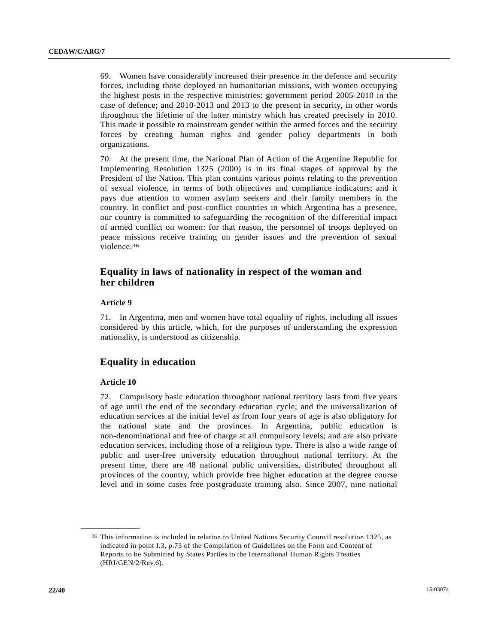69. Women have considerably increased their presence in the defence and security forces, including those deployed on humanitarian missions, with women occupying the highest posts in the respective ministries: government period 2005-2010 in the case of defence; and 2010-2013 and 2013 to the present in security, in other words throughout the lifetime of the latter ministry which has created precisely in 2010. This made it possible to mainstream gender within the armed forces and the security forces by creating human rights and gender policy departments in both organizations.

70. At the present time, the National Plan of Action of the Argentine Republic for Implementing Resolution 1325 (2000) is in its final stages of approval by the President of the Nation. This plan contains various points relating to the prevention of sexual violence, in terms of both objectives and compliance indicators; and it pays due attention to women asylum seekers and their family members in the country. In conflict and post-conflict countries in which Argentina has a presence, our country is committed to safeguarding the recognition of the differential impact of armed conflict on women: for that reason, the personnel of troops deployed on peace missions receive training on gender issues and the prevention of sexual violence.36

# **Equality in laws of nationality in respect of the woman and her children**

### **Article 9**

71. In Argentina, men and women have total equality of rights, including all issues considered by this article, which, for the purposes of understanding the expression nationality, is understood as citizenship.

## **Equality in education**

### **Article 10**

**\_\_\_\_\_\_\_\_\_\_\_\_\_\_\_\_\_\_** 

72. Compulsory basic education throughout national territory lasts from five years of age until the end of the secondary education cycle; and the universalization of education services at the initial level as from four years of age is also obligatory for the national state and the provinces. In Argentina, public education is non-denominational and free of charge at all compulsory levels; and are also private education services, including those of a religious type. There is also a wide range of public and user-free university education throughout national territory. At the present time, there are 48 national public universities, distributed throughout all provinces of the country, which provide free higher education at the degree course level and in some cases free postgraduate training also. Since 2007, nine national

<sup>36</sup> This information is included in relation to United Nations Security Council resolution 1325, as indicated in point I.3, p.73 of the Compilation of Guidelines on the Form and Content of Reports to be Submitted by States Parties to the International Human Rights Treaties (HRI/GEN/2/Rev.6).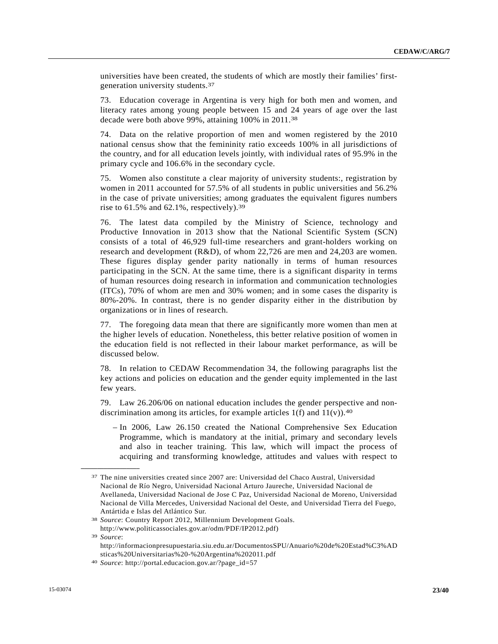universities have been created, the students of which are mostly their families' firstgeneration university students.37

73. Education coverage in Argentina is very high for both men and women, and literacy rates among young people between 15 and 24 years of age over the last decade were both above 99%, attaining 100% in 2011.38

74. Data on the relative proportion of men and women registered by the 2010 national census show that the femininity ratio exceeds 100% in all jurisdictions of the country, and for all education levels jointly, with individual rates of 95.9% in the primary cycle and 106.6% in the secondary cycle.

75. Women also constitute a clear majority of university students:, registration by women in 2011 accounted for 57.5% of all students in public universities and 56.2% in the case of private universities; among graduates the equivalent figures numbers rise to 61.5% and 62.1%, respectively).39

76. The latest data compiled by the Ministry of Science, technology and Productive Innovation in 2013 show that the National Scientific System (SCN) consists of a total of 46,929 full-time researchers and grant-holders working on research and development (R&D), of whom 22,726 are men and 24,203 are women. These figures display gender parity nationally in terms of human resources participating in the SCN. At the same time, there is a significant disparity in terms of human resources doing research in information and communication technologies (ITCs), 70% of whom are men and 30% women; and in some cases the disparity is 80%-20%. In contrast, there is no gender disparity either in the distribution by organizations or in lines of research.

77. The foregoing data mean that there are significantly more women than men at the higher levels of education. Nonetheless, this better relative position of women in the education field is not reflected in their labour market performance, as will be discussed below.

78. In relation to CEDAW Recommendation 34, the following paragraphs list the key actions and policies on education and the gender equity implemented in the last few years.

79. Law 26.206/06 on national education includes the gender perspective and nondiscrimination among its articles, for example articles  $1(f)$  and  $11(v)$ .<sup>40</sup>

 – In 2006, Law 26.150 created the National Comprehensive Sex Education Programme, which is mandatory at the initial, primary and secondary levels and also in teacher training. This law, which will impact the process of acquiring and transforming knowledge, attitudes and values with respect to

<sup>37</sup> The nine universities created since 2007 are: Universidad del Chaco Austral, Universidad Nacional de Río Negro, Universidad Nacional Arturo Jaureche, Universidad Nacional de Avellaneda, Universidad Nacional de Jose C Paz, Universidad Nacional de Moreno, Universidad Nacional de Villa Mercedes, Universidad Nacional del Oeste, and Universidad Tierra del Fuego, Antártida e Islas del Atlántico Sur. 38 *Source*: Country Report 2012, Millennium Development Goals.

http://www.politicassociales.gov.ar/odm/PDF/IP2012.pdf) 39 *Source*: http://informacionpresupuestaria.siu.edu.ar/DocumentosSPU/Anuario%20de%20Estad%C3%AD

sticas%20Universitarias%20-%20Argentina%202011.pdf 40 *Source*: http://portal.educacion.gov.ar/?page\_id=57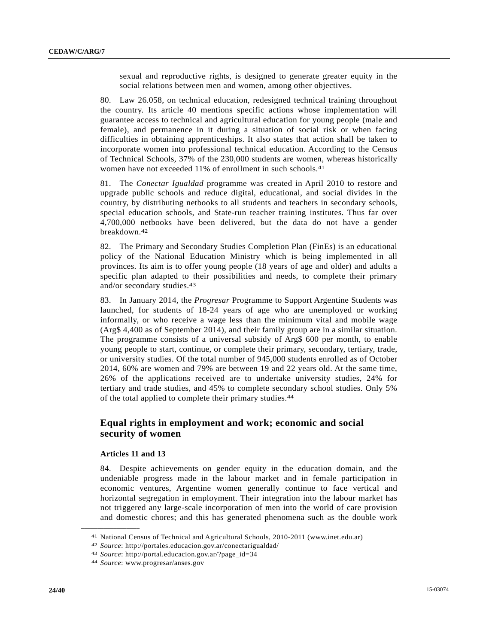sexual and reproductive rights, is designed to generate greater equity in the social relations between men and women, among other objectives.

80. Law 26.058, on technical education, redesigned technical training throughout the country. Its article 40 mentions specific actions whose implementation will guarantee access to technical and agricultural education for young people (male and female), and permanence in it during a situation of social risk or when facing difficulties in obtaining apprenticeships. It also states that action shall be taken to incorporate women into professional technical education. According to the Census of Technical Schools, 37% of the 230,000 students are women, whereas historically women have not exceeded 11% of enrollment in such schools.<sup>41</sup>

81. The *Conectar Igualdad* programme was created in April 2010 to restore and upgrade public schools and reduce digital, educational, and social divides in the country, by distributing netbooks to all students and teachers in secondary schools, special education schools, and State-run teacher training institutes. Thus far over 4,700,000 netbooks have been delivered, but the data do not have a gender breakdown.42

82. The Primary and Secondary Studies Completion Plan (FinEs) is an educational policy of the National Education Ministry which is being implemented in all provinces. Its aim is to offer young people (18 years of age and older) and adults a specific plan adapted to their possibilities and needs, to complete their primary and/or secondary studies.43

83. In January 2014, the *Progresar* Programme to Support Argentine Students was launched, for students of 18-24 years of age who are unemployed or working informally, or who receive a wage less than the minimum vital and mobile wage (Arg\$ 4,400 as of September 2014), and their family group are in a similar situation. The programme consists of a universal subsidy of Arg\$ 600 per month, to enable young people to start, continue, or complete their primary, secondary, tertiary, trade, or university studies. Of the total number of 945,000 students enrolled as of October 2014, 60% are women and 79% are between 19 and 22 years old. At the same time, 26% of the applications received are to undertake university studies, 24% for tertiary and trade studies, and 45% to complete secondary school studies. Only 5% of the total applied to complete their primary studies.44

# **Equal rights in employment and work; economic and social security of women**

### **Articles 11 and 13**

**\_\_\_\_\_\_\_\_\_\_\_\_\_\_\_\_\_\_** 

84. Despite achievements on gender equity in the education domain, and the undeniable progress made in the labour market and in female participation in economic ventures, Argentine women generally continue to face vertical and horizontal segregation in employment. Their integration into the labour market has not triggered any large-scale incorporation of men into the world of care provision and domestic chores; and this has generated phenomena such as the double work

<sup>41</sup> National Census of Technical and Agricultural Schools, 2010-2011 (www.inet.edu.ar)

<sup>42</sup> *Source*: http://portales.educacion.gov.ar/conectarigualdad/ 43 *Source*: http://portal.educacion.gov.ar/?page\_id=34 44 *Source*: www.progresar/anses.gov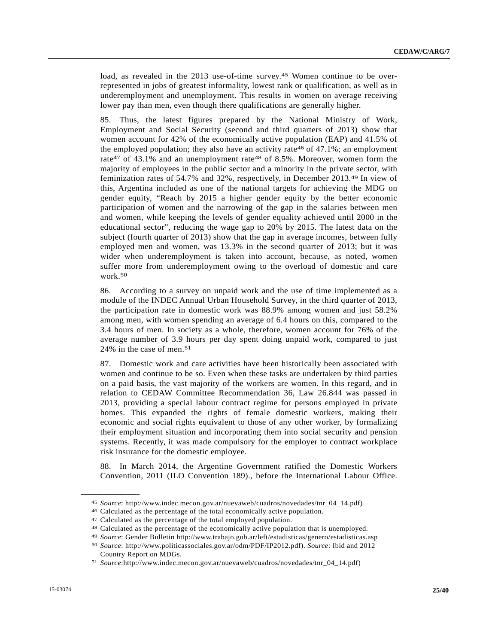load, as revealed in the 2013 use-of-time survey.<sup>45</sup> Women continue to be overrepresented in jobs of greatest informality, lowest rank or qualification, as well as in underemployment and unemployment. This results in women on average receiving lower pay than men, even though there qualifications are generally higher.

85. Thus, the latest figures prepared by the National Ministry of Work, Employment and Social Security (second and third quarters of 2013) show that women account for 42% of the economically active population (EAP) and 41.5% of the employed population; they also have an activity rate 46 of 47.1%; an employment rate<sup>47</sup> of 43.1% and an unemployment rate<sup>48</sup> of 8.5%. Moreover, women form the majority of employees in the public sector and a minority in the private sector, with feminization rates of 54.7% and 32%, respectively, in December 2013.49 In view of this, Argentina included as one of the national targets for achieving the MDG on gender equity, "Reach by 2015 a higher gender equity by the better economic participation of women and the narrowing of the gap in the salaries between men and women, while keeping the levels of gender equality achieved until 2000 in the educational sector", reducing the wage gap to 20% by 2015. The latest data on the subject (fourth quarter of 2013) show that the gap in average incomes, between fully employed men and women, was 13.3% in the second quarter of 2013; but it was wider when underemployment is taken into account, because, as noted, women suffer more from underemployment owing to the overload of domestic and care work.50

86. According to a survey on unpaid work and the use of time implemented as a module of the INDEC Annual Urban Household Survey, in the third quarter of 2013, the participation rate in domestic work was 88.9% among women and just 58.2% among men, with women spending an average of 6.4 hours on this, compared to the 3.4 hours of men. In society as a whole, therefore, women account for 76% of the average number of 3.9 hours per day spent doing unpaid work, compared to just 24% in the case of men.51

87. Domestic work and care activities have been historically been associated with women and continue to be so. Even when these tasks are undertaken by third parties on a paid basis, the vast majority of the workers are women. In this regard, and in relation to CEDAW Committee Recommendation 36, Law 26.844 was passed in 2013, providing a special labour contract regime for persons employed in private homes. This expanded the rights of female domestic workers, making their economic and social rights equivalent to those of any other worker, by formalizing their employment situation and incorporating them into social security and pension systems. Recently, it was made compulsory for the employer to contract workplace risk insurance for the domestic employee.

88. In March 2014, the Argentine Government ratified the Domestic Workers Convention, 2011 (ILO Convention 189)., before the International Labour Office.

<sup>45</sup> *Source*: http://www.indec.mecon.gov.ar/nuevaweb/cuadros/novedades/tnr\_04\_14.pdf)

<sup>46</sup> Calculated as the percentage of the total economically active population.

<sup>47</sup> Calculated as the percentage of the total employed population.

<sup>48</sup> Calculated as the percentage of the economically active population that is unemployed.

<sup>49</sup> *Source*: Gender Bulletin http://www.trabajo.gob.ar/left/estadisticas/genero/estadisticas.asp

<sup>50</sup> *Source*: http://www.politicassociales.gov.ar/odm/PDF/IP2012.pdf). *Source*: Ibid and 2012 Country Report on MDGs. 51 *Source*:http://www.indec.mecon.gov.ar/nuevaweb/cuadros/novedades/tnr\_04\_14.pdf)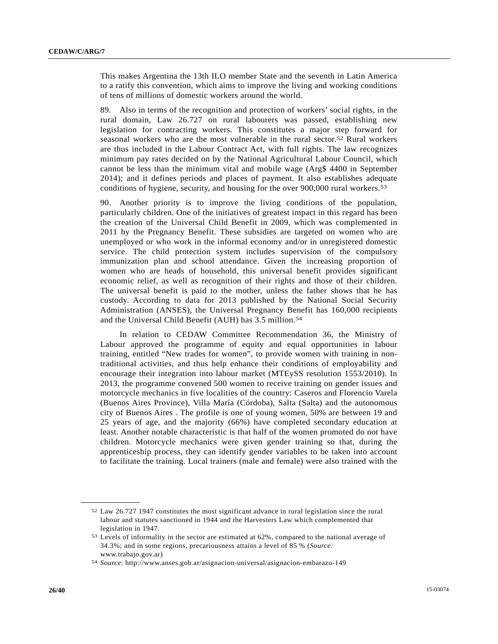This makes Argentina the 13th ILO member State and the seventh in Latin America to a ratify this convention, which aims to improve the living and working conditions of tens of millions of domestic workers around the world.

89. Also in terms of the recognition and protection of workers' social rights, in the rural domain, Law 26.727 on rural labourers was passed, establishing new legislation for contracting workers. This constitutes a major step forward for seasonal workers who are the most vulnerable in the rural sector.52 Rural workers are thus included in the Labour Contract Act, with full rights. The law recognizes minimum pay rates decided on by the National Agricultural Labour Council, which cannot be less than the minimum vital and mobile wage (Arg\$ 4400 in September 2014); and it defines periods and places of payment. It also establishes adequate conditions of hygiene, security, and housing for the over 900,000 rural workers.53

90. Another priority is to improve the living conditions of the population, particularly children. One of the initiatives of greatest impact in this regard has been the creation of the Universal Child Benefit in 2009, which was complemented in 2011 by the Pregnancy Benefit. These subsidies are targeted on women who are unemployed or who work in the informal economy and/or in unregistered domestic service. The child protection system includes supervision of the compulsory immunization plan and school attendance. Given the increasing proportion of women who are heads of household, this universal benefit provides significant economic relief, as well as recognition of their rights and those of their children. The universal benefit is paid to the mother, unless the father shows that he has custody. According to data for 2013 published by the National Social Security Administration (ANSES), the Universal Pregnancy Benefit has 160,000 recipients and the Universal Child Benefit (AUH) has 3.5 million.54

 In relation to CEDAW Committee Recommendation 36, the Ministry of Labour approved the programme of equity and equal opportunities in labour training, entitled "New trades for women", to provide women with training in nontraditional activities, and thus help enhance their conditions of employability and encourage their integration into labour market (MTEySS resolution 1553/2010). In 2013, the programme convened 500 women to receive training on gender issues and motorcycle mechanics in five localities of the country: Caseros and Florencio Varela (Buenos Aires Province), Villa María (Córdoba), Salta (Salta) and the autonomous city of Buenos Aires . The profile is one of young women, 50% are between 19 and 25 years of age, and the majority (66%) have completed secondary education at least. Another notable characteristic is that half of the women promoted do not have children. Motorcycle mechanics were given gender training so that, during the apprenticeship process, they can identify gender variables to be taken into account to facilitate the training. Local trainers (male and female) were also trained with the

<sup>52</sup> Law 26.727 1947 constitutes the most significant advance in rural legislation since the rural labour and statutes sanctioned in 1944 and the Harvesters Law which complemented that

legislation in 1947.<br><sup>53</sup> Levels of informality in the sector are estimated at 62%, compared to the national average of 34.3%; and in some regions, precariousness attains a level of 85 % (*Source:*

www.trabajo.gov.ar) 54 *Source*: http://www.anses.gob.ar/asignacion-universal/asignacion-embarazo-149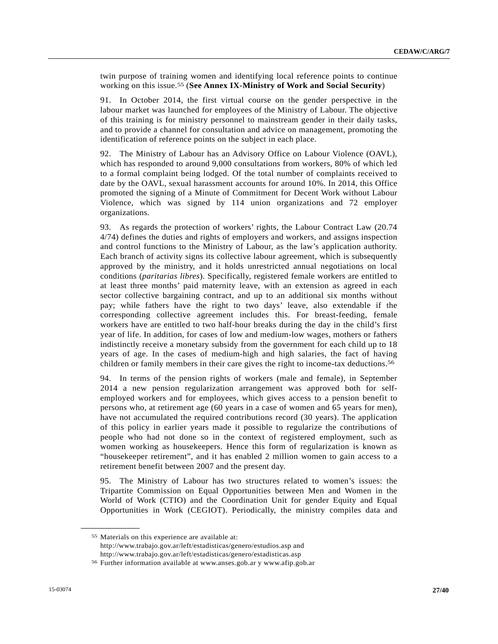twin purpose of training women and identifying local reference points to continue working on this issue.55 (**See Annex IX-Ministry of Work and Social Security**)

91. In October 2014, the first virtual course on the gender perspective in the labour market was launched for employees of the Ministry of Labour. The objective of this training is for ministry personnel to mainstream gender in their daily tasks, and to provide a channel for consultation and advice on management, promoting the identification of reference points on the subject in each place.

92. The Ministry of Labour has an Advisory Office on Labour Violence (OAVL), which has responded to around 9,000 consultations from workers, 80% of which led to a formal complaint being lodged. Of the total number of complaints received to date by the OAVL, sexual harassment accounts for around 10%. In 2014, this Office promoted the signing of a Minute of Commitment for Decent Work without Labour Violence, which was signed by 114 union organizations and 72 employer organizations.

93. As regards the protection of workers' rights, the Labour Contract Law (20.74 4/74) defines the duties and rights of employers and workers, and assigns inspection and control functions to the Ministry of Labour, as the law's application authority. Each branch of activity signs its collective labour agreement, which is subsequently approved by the ministry, and it holds unrestricted annual negotiations on local conditions (*paritarias libres*). Specifically, registered female workers are entitled to at least three months' paid maternity leave, with an extension as agreed in each sector collective bargaining contract, and up to an additional six months without pay; while fathers have the right to two days' leave, also extendable if the corresponding collective agreement includes this. For breast-feeding, female workers have are entitled to two half-hour breaks during the day in the child's first year of life. In addition, for cases of low and medium-low wages, mothers or fathers indistinctly receive a monetary subsidy from the government for each child up to 18 years of age. In the cases of medium-high and high salaries, the fact of having children or family members in their care gives the right to income-tax deductions.56

94. In terms of the pension rights of workers (male and female), in September 2014 a new pension regularization arrangement was approved both for selfemployed workers and for employees, which gives access to a pension benefit to persons who, at retirement age (60 years in a case of women and 65 years for men), have not accumulated the required contributions record (30 years). The application of this policy in earlier years made it possible to regularize the contributions of people who had not done so in the context of registered employment, such as women working as housekeepers. Hence this form of regularization is known as "housekeeper retirement", and it has enabled 2 million women to gain access to a retirement benefit between 2007 and the present day.

95. The Ministry of Labour has two structures related to women's issues: the Tripartite Commission on Equal Opportunities between Men and Women in the World of Work (CTIO) and the Coordination Unit for gender Equity and Equal Opportunities in Work (CEGIOT). Periodically, the ministry compiles data and

<sup>55</sup> Materials on this experience are available at: http://www.trabajo.gov.ar/left/estadisticas/genero/estudios.asp and

http://www.trabajo.gov.ar/left/estadisticas/genero/estadisticas.asp 56 Further information available at www.anses.gob.ar y www.afip.gob.ar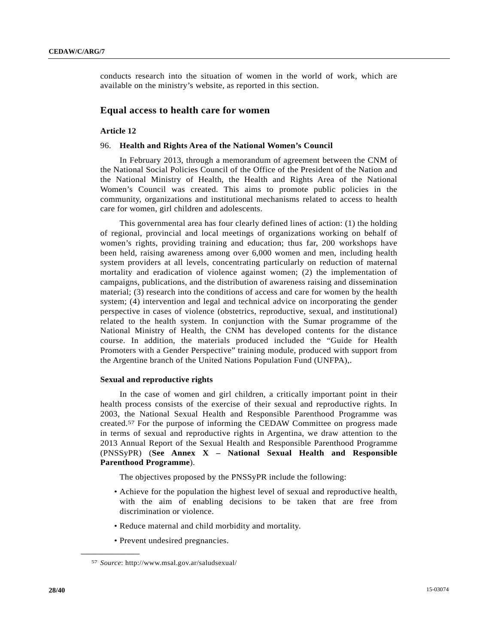conducts research into the situation of women in the world of work, which are available on the ministry's website, as reported in this section.

## **Equal access to health care for women**

#### **Article 12**

#### 96. **Health and Rights Area of the National Women's Council**

 In February 2013, through a memorandum of agreement between the CNM of the National Social Policies Council of the Office of the President of the Nation and the National Ministry of Health, the Health and Rights Area of the National Women's Council was created. This aims to promote public policies in the community, organizations and institutional mechanisms related to access to health care for women, girl children and adolescents.

 This governmental area has four clearly defined lines of action: (1) the holding of regional, provincial and local meetings of organizations working on behalf of women's rights, providing training and education; thus far, 200 workshops have been held, raising awareness among over 6,000 women and men, including health system providers at all levels, concentrating particularly on reduction of maternal mortality and eradication of violence against women; (2) the implementation of campaigns, publications, and the distribution of awareness raising and dissemination material; (3) research into the conditions of access and care for women by the health system; (4) intervention and legal and technical advice on incorporating the gender perspective in cases of violence (obstetrics, reproductive, sexual, and institutional) related to the health system. In conjunction with the Sumar programme of the National Ministry of Health, the CNM has developed contents for the distance course. In addition, the materials produced included the "Guide for Health Promoters with a Gender Perspective" training module, produced with support from the Argentine branch of the United Nations Population Fund (UNFPA),.

#### **Sexual and reproductive rights**

 In the case of women and girl children, a critically important point in their health process consists of the exercise of their sexual and reproductive rights. In 2003, the National Sexual Health and Responsible Parenthood Programme was created.57 For the purpose of informing the CEDAW Committee on progress made in terms of sexual and reproductive rights in Argentina, we draw attention to the 2013 Annual Report of the Sexual Health and Responsible Parenthood Programme (PNSSyPR) (**See Annex X – National Sexual Health and Responsible Parenthood Programme**).

The objectives proposed by the PNSSyPR include the following:

- Achieve for the population the highest level of sexual and reproductive health, with the aim of enabling decisions to be taken that are free from discrimination or violence.
- Reduce maternal and child morbidity and mortality.
- Prevent undesired pregnancies.

<sup>57</sup> *Source*: http://www.msal.gov.ar/saludsexual/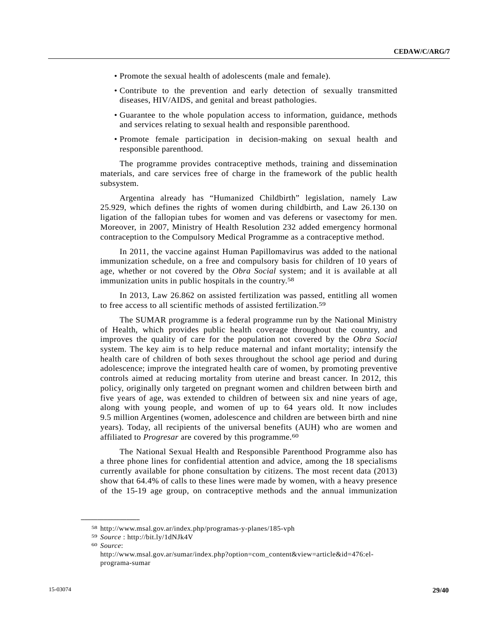- Promote the sexual health of adolescents (male and female).
- Contribute to the prevention and early detection of sexually transmitted diseases, HIV/AIDS, and genital and breast pathologies.
- Guarantee to the whole population access to information, guidance, methods and services relating to sexual health and responsible parenthood.
- Promote female participation in decision-making on sexual health and responsible parenthood.

 The programme provides contraceptive methods, training and dissemination materials, and care services free of charge in the framework of the public health subsystem.

 Argentina already has "Humanized Childbirth" legislation, namely Law 25.929, which defines the rights of women during childbirth, and Law 26.130 on ligation of the fallopian tubes for women and vas deferens or vasectomy for men. Moreover, in 2007, Ministry of Health Resolution 232 added emergency hormonal contraception to the Compulsory Medical Programme as a contraceptive method.

 In 2011, the vaccine against Human Papillomavirus was added to the national immunization schedule, on a free and compulsory basis for children of 10 years of age, whether or not covered by the *Obra Social* system; and it is available at all immunization units in public hospitals in the country.58

 In 2013, Law 26.862 on assisted fertilization was passed, entitling all women to free access to all scientific methods of assisted fertilization.59

 The SUMAR programme is a federal programme run by the National Ministry of Health, which provides public health coverage throughout the country, and improves the quality of care for the population not covered by the *Obra Social* system. The key aim is to help reduce maternal and infant mortality; intensify the health care of children of both sexes throughout the school age period and during adolescence; improve the integrated health care of women, by promoting preventive controls aimed at reducing mortality from uterine and breast cancer. In 2012, this policy, originally only targeted on pregnant women and children between birth and five years of age, was extended to children of between six and nine years of age, along with young people, and women of up to 64 years old. It now includes 9.5 million Argentines (women, adolescence and children are between birth and nine years). Today, all recipients of the universal benefits (AUH) who are women and affiliated to *Progresar* are covered by this programme.<sup>60</sup>

 The National Sexual Health and Responsible Parenthood Programme also has a three phone lines for confidential attention and advice, among the 18 specialisms currently available for phone consultation by citizens. The most recent data (2013) show that 64.4% of calls to these lines were made by women, with a heavy presence of the 15-19 age group, on contraceptive methods and the annual immunization

<sup>58</sup> http://www.msal.gov.ar/index.php/programas-y-planes/185-vph

<sup>59</sup> *Source* : http://bit.ly/1dNJk4V

<sup>60</sup> *Source*:

http://www.msal.gov.ar/sumar/index.php?option=com\_content&view=article&id=476:elprograma-sumar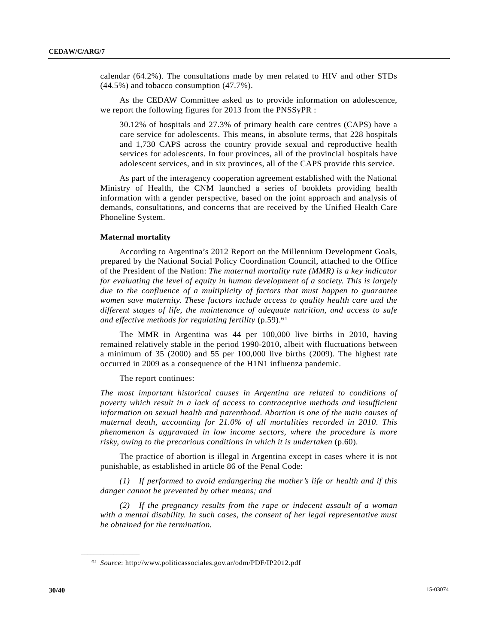calendar (64.2%). The consultations made by men related to HIV and other STDs (44.5%) and tobacco consumption (47.7%).

 As the CEDAW Committee asked us to provide information on adolescence, we report the following figures for 2013 from the PNSSyPR :

30.12% of hospitals and 27.3% of primary health care centres (CAPS) have a care service for adolescents. This means, in absolute terms, that 228 hospitals and 1,730 CAPS across the country provide sexual and reproductive health services for adolescents. In four provinces, all of the provincial hospitals have adolescent services, and in six provinces, all of the CAPS provide this service.

 As part of the interagency cooperation agreement established with the National Ministry of Health, the CNM launched a series of booklets providing health information with a gender perspective, based on the joint approach and analysis of demands, consultations, and concerns that are received by the Unified Health Care Phoneline System.

#### **Maternal mortality**

 According to Argentina's 2012 Report on the Millennium Development Goals, prepared by the National Social Policy Coordination Council, attached to the Office of the President of the Nation: *The maternal mortality rate (MMR) is a key indicator for evaluating the level of equity in human development of a society. This is largely due to the confluence of a multiplicity of factors that must happen to guarantee women save maternity. These factors include access to quality health care and the different stages of life, the maintenance of adequate nutrition, and access to safe and effective methods for regulating fertility* (p.59).61

 The MMR in Argentina was 44 per 100,000 live births in 2010, having remained relatively stable in the period 1990-2010, albeit with fluctuations between a minimum of 35 (2000) and 55 per 100,000 live births (2009). The highest rate occurred in 2009 as a consequence of the H1N1 influenza pandemic.

The report continues:

*The most important historical causes in Argentina are related to conditions of poverty which result in a lack of access to contraceptive methods and insufficient information on sexual health and parenthood. Abortion is one of the main causes of maternal death, accounting for 21.0% of all mortalities recorded in 2010. This phenomenon is aggravated in low income sectors, where the procedure is more risky, owing to the precarious conditions in which it is undertaken* (p.60).

 The practice of abortion is illegal in Argentina except in cases where it is not punishable, as established in article 86 of the Penal Code:

 *(1) If performed to avoid endangering the mother's life or health and if this danger cannot be prevented by other means; and* 

 *(2) If the pregnancy results from the rape or indecent assault of a woman with a mental disability. In such cases, the consent of her legal representative must be obtained for the termination.*

<sup>61</sup> *Source*: http://www.politicassociales.gov.ar/odm/PDF/IP2012.pdf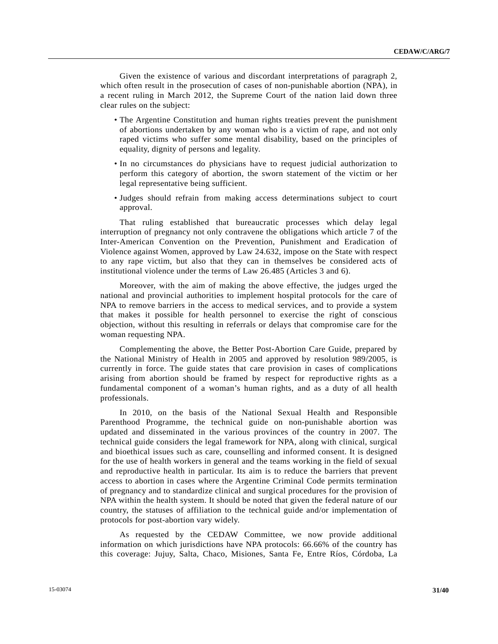Given the existence of various and discordant interpretations of paragraph 2, which often result in the prosecution of cases of non-punishable abortion (NPA), in a recent ruling in March 2012, the Supreme Court of the nation laid down three clear rules on the subject:

- The Argentine Constitution and human rights treaties prevent the punishment of abortions undertaken by any woman who is a victim of rape, and not only raped victims who suffer some mental disability, based on the principles of equality, dignity of persons and legality.
- In no circumstances do physicians have to request judicial authorization to perform this category of abortion, the sworn statement of the victim or her legal representative being sufficient.
- Judges should refrain from making access determinations subject to court approval.

 That ruling established that bureaucratic processes which delay legal interruption of pregnancy not only contravene the obligations which article 7 of the Inter-American Convention on the Prevention, Punishment and Eradication of Violence against Women, approved by Law 24.632, impose on the State with respect to any rape victim, but also that they can in themselves be considered acts of institutional violence under the terms of Law 26.485 (Articles 3 and 6).

 Moreover, with the aim of making the above effective, the judges urged the national and provincial authorities to implement hospital protocols for the care of NPA to remove barriers in the access to medical services, and to provide a system that makes it possible for health personnel to exercise the right of conscious objection, without this resulting in referrals or delays that compromise care for the woman requesting NPA.

 Complementing the above, the Better Post-Abortion Care Guide, prepared by the National Ministry of Health in 2005 and approved by resolution 989/2005, is currently in force. The guide states that care provision in cases of complications arising from abortion should be framed by respect for reproductive rights as a fundamental component of a woman's human rights, and as a duty of all health professionals.

 In 2010, on the basis of the National Sexual Health and Responsible Parenthood Programme, the technical guide on non-punishable abortion was updated and disseminated in the various provinces of the country in 2007. The technical guide considers the legal framework for NPA, along with clinical, surgical and bioethical issues such as care, counselling and informed consent. It is designed for the use of health workers in general and the teams working in the field of sexual and reproductive health in particular. Its aim is to reduce the barriers that prevent access to abortion in cases where the Argentine Criminal Code permits termination of pregnancy and to standardize clinical and surgical procedures for the provision of NPA within the health system. It should be noted that given the federal nature of our country, the statuses of affiliation to the technical guide and/or implementation of protocols for post-abortion vary widely.

 As requested by the CEDAW Committee, we now provide additional information on which jurisdictions have NPA protocols: 66.66% of the country has this coverage: Jujuy, Salta, Chaco, Misiones, Santa Fe, Entre Ríos, Córdoba, La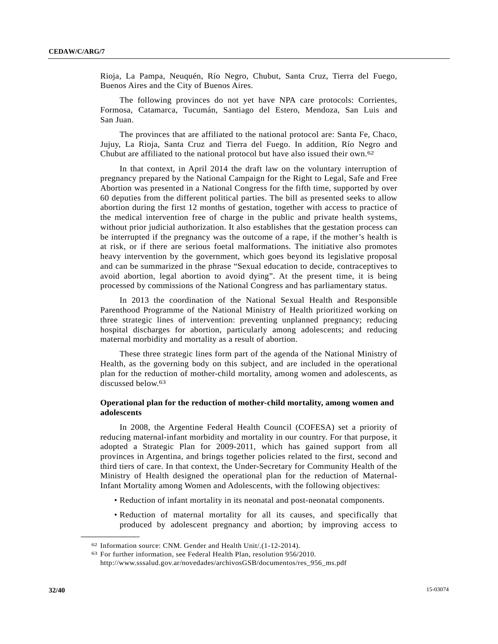Rioja, La Pampa, Neuquén, Río Negro, Chubut, Santa Cruz, Tierra del Fuego, Buenos Aires and the City of Buenos Aires.

 The following provinces do not yet have NPA care protocols: Corrientes, Formosa, Catamarca, Tucumán, Santiago del Estero, Mendoza, San Luis and San Juan.

 The provinces that are affiliated to the national protocol are: Santa Fe, Chaco, Jujuy, La Rioja, Santa Cruz and Tierra del Fuego. In addition, Río Negro and Chubut are affiliated to the national protocol but have also issued their own.62

 In that context, in April 2014 the draft law on the voluntary interruption of pregnancy prepared by the National Campaign for the Right to Legal, Safe and Free Abortion was presented in a National Congress for the fifth time, supported by over 60 deputies from the different political parties. The bill as presented seeks to allow abortion during the first 12 months of gestation, together with access to practice of the medical intervention free of charge in the public and private health systems, without prior judicial authorization. It also establishes that the gestation process can be interrupted if the pregnancy was the outcome of a rape, if the mother's health is at risk, or if there are serious foetal malformations. The initiative also promotes heavy intervention by the government, which goes beyond its legislative proposal and can be summarized in the phrase "Sexual education to decide, contraceptives to avoid abortion, legal abortion to avoid dying". At the present time, it is being processed by commissions of the National Congress and has parliamentary status.

 In 2013 the coordination of the National Sexual Health and Responsible Parenthood Programme of the National Ministry of Health prioritized working on three strategic lines of intervention: preventing unplanned pregnancy; reducing hospital discharges for abortion, particularly among adolescents; and reducing maternal morbidity and mortality as a result of abortion.

 These three strategic lines form part of the agenda of the National Ministry of Health, as the governing body on this subject, and are included in the operational plan for the reduction of mother-child mortality, among women and adolescents, as discussed below.63

### **Operational plan for the reduction of mother-child mortality, among women and adolescents**

 In 2008, the Argentine Federal Health Council (COFESA) set a priority of reducing maternal-infant morbidity and mortality in our country. For that purpose, it adopted a Strategic Plan for 2009-2011, which has gained support from all provinces in Argentina, and brings together policies related to the first, second and third tiers of care. In that context, the Under-Secretary for Community Health of the Ministry of Health designed the operational plan for the reduction of Maternal-Infant Mortality among Women and Adolescents, with the following objectives:

- Reduction of infant mortality in its neonatal and post-neonatal components.
- Reduction of maternal mortality for all its causes, and specifically that produced by adolescent pregnancy and abortion; by improving access to

<sup>62</sup> Information source: CNM. Gender and Health Unit/.(1-12-2014).<br>63 For further information, see Federal Health Plan, resolution 956/2010.

http://www.sssalud.gov.ar/novedades/archivosGSB/documentos/res\_956\_ms.pdf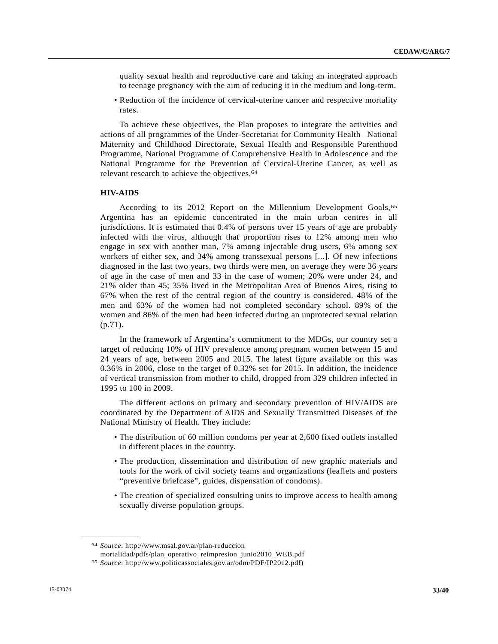quality sexual health and reproductive care and taking an integrated approach to teenage pregnancy with the aim of reducing it in the medium and long-term.

 • Reduction of the incidence of cervical-uterine cancer and respective mortality rates.

 To achieve these objectives, the Plan proposes to integrate the activities and actions of all programmes of the Under-Secretariat for Community Health –National Maternity and Childhood Directorate, Sexual Health and Responsible Parenthood Programme, National Programme of Comprehensive Health in Adolescence and the National Programme for the Prevention of Cervical-Uterine Cancer, as well as relevant research to achieve the objectives.64

#### **HIV-AIDS**

According to its 2012 Report on the Millennium Development Goals, 65 Argentina has an epidemic concentrated in the main urban centres in all jurisdictions. It is estimated that 0.4% of persons over 15 years of age are probably infected with the virus, although that proportion rises to 12% among men who engage in sex with another man, 7% among injectable drug users, 6% among sex workers of either sex, and 34% among transsexual persons [...]. Of new infections diagnosed in the last two years, two thirds were men, on average they were 36 years of age in the case of men and 33 in the case of women; 20% were under 24, and 21% older than 45; 35% lived in the Metropolitan Area of Buenos Aires, rising to 67% when the rest of the central region of the country is considered. 48% of the men and 63% of the women had not completed secondary school. 89% of the women and 86% of the men had been infected during an unprotected sexual relation (p.71).

 In the framework of Argentina's commitment to the MDGs, our country set a target of reducing 10% of HIV prevalence among pregnant women between 15 and 24 years of age, between 2005 and 2015. The latest figure available on this was 0.36% in 2006, close to the target of 0.32% set for 2015. In addition, the incidence of vertical transmission from mother to child, dropped from 329 children infected in 1995 to 100 in 2009.

 The different actions on primary and secondary prevention of HIV/AIDS are coordinated by the Department of AIDS and Sexually Transmitted Diseases of the National Ministry of Health. They include:

- The distribution of 60 million condoms per year at 2,600 fixed outlets installed in different places in the country.
- The production, dissemination and distribution of new graphic materials and tools for the work of civil society teams and organizations (leaflets and posters "preventive briefcase", guides, dispensation of condoms).
- The creation of specialized consulting units to improve access to health among sexually diverse population groups.

<sup>64</sup> *Source*: http://www.msal.gov.ar/plan-reduccion

mortalidad/pdfs/plan\_operativo\_reimpresion\_junio2010\_WEB.pdf 65 *Source*: http://www.politicassociales.gov.ar/odm/PDF/IP2012.pdf)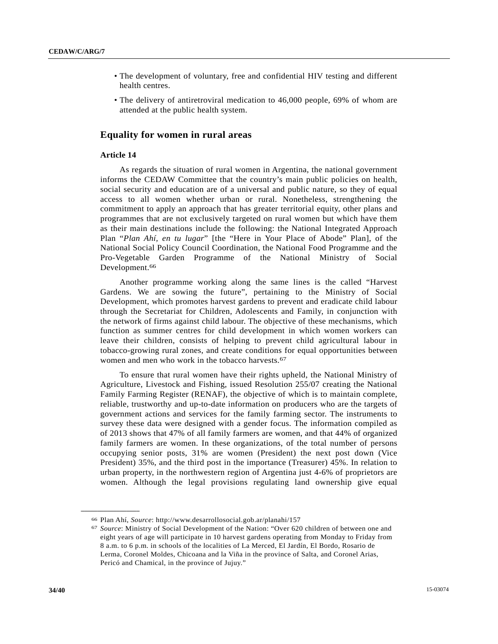- The development of voluntary, free and confidential HIV testing and different health centres.
- The delivery of antiretroviral medication to 46,000 people, 69% of whom are attended at the public health system.

## **Equality for women in rural areas**

### **Article 14**

 As regards the situation of rural women in Argentina, the national government informs the CEDAW Committee that the country's main public policies on health, social security and education are of a universal and public nature, so they of equal access to all women whether urban or rural. Nonetheless, strengthening the commitment to apply an approach that has greater territorial equity, other plans and programmes that are not exclusively targeted on rural women but which have them as their main destinations include the following: the National Integrated Approach Plan "*Plan Ahí, en tu lugar*" [the "Here in Your Place of Abode" Plan], of the National Social Policy Council Coordination, the National Food Programme and the Pro-Vegetable Garden Programme of the National Ministry of Social Development.<sup>66</sup>

 Another programme working along the same lines is the called "Harvest Gardens. We are sowing the future", pertaining to the Ministry of Social Development, which promotes harvest gardens to prevent and eradicate child labour through the Secretariat for Children, Adolescents and Family, in conjunction with the network of firms against child labour. The objective of these mechanisms, which function as summer centres for child development in which women workers can leave their children, consists of helping to prevent child agricultural labour in tobacco-growing rural zones, and create conditions for equal opportunities between women and men who work in the tobacco harvests.<sup>67</sup>

 To ensure that rural women have their rights upheld, the National Ministry of Agriculture, Livestock and Fishing, issued Resolution 255/07 creating the National Family Farming Register (RENAF), the objective of which is to maintain complete, reliable, trustworthy and up-to-date information on producers who are the targets of government actions and services for the family farming sector. The instruments to survey these data were designed with a gender focus. The information compiled as of 2013 shows that 47% of all family farmers are women, and that 44% of organized family farmers are women. In these organizations, of the total number of persons occupying senior posts, 31% are women (President) the next post down (Vice President) 35%, and the third post in the importance (Treasurer) 45%. In relation to urban property, in the northwestern region of Argentina just 4-6% of proprietors are women. Although the legal provisions regulating land ownership give equal

<sup>66</sup> Plan Ahí, *Source*: http://www.desarrollosocial.gob.ar/planahi/157

<sup>67</sup> *Source*: Ministry of Social Development of the Nation: "Over 620 children of between one and eight years of age will participate in 10 harvest gardens operating from Monday to Friday from 8 a.m. to 6 p.m. in schools of the localities of La Merced, El Jardín, El Bordo, Rosario de Lerma, Coronel Moldes, Chicoana and la Viña in the province of Salta, and Coronel Arias, Pericó and Chamical, in the province of Jujuy."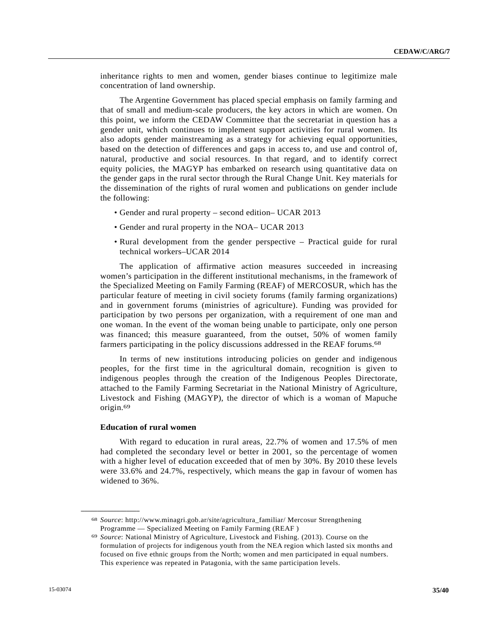inheritance rights to men and women, gender biases continue to legitimize male concentration of land ownership.

 The Argentine Government has placed special emphasis on family farming and that of small and medium-scale producers, the key actors in which are women. On this point, we inform the CEDAW Committee that the secretariat in question has a gender unit, which continues to implement support activities for rural women. Its also adopts gender mainstreaming as a strategy for achieving equal opportunities, based on the detection of differences and gaps in access to, and use and control of, natural, productive and social resources. In that regard, and to identify correct equity policies, the MAGYP has embarked on research using quantitative data on the gender gaps in the rural sector through the Rural Change Unit. Key materials for the dissemination of the rights of rural women and publications on gender include the following:

- Gender and rural property second edition– UCAR 2013
- Gender and rural property in the NOA– UCAR 2013
- Rural development from the gender perspective Practical guide for rural technical workers–UCAR 2014

 The application of affirmative action measures succeeded in increasing women's participation in the different institutional mechanisms, in the framework of the Specialized Meeting on Family Farming (REAF) of MERCOSUR, which has the particular feature of meeting in civil society forums (family farming organizations) and in government forums (ministries of agriculture). Funding was provided for participation by two persons per organization, with a requirement of one man and one woman. In the event of the woman being unable to participate, only one person was financed; this measure guaranteed, from the outset, 50% of women family farmers participating in the policy discussions addressed in the REAF forums.<sup>68</sup>

 In terms of new institutions introducing policies on gender and indigenous peoples, for the first time in the agricultural domain, recognition is given to indigenous peoples through the creation of the Indigenous Peoples Directorate, attached to the Family Farming Secretariat in the National Ministry of Agriculture, Livestock and Fishing (MAGYP), the director of which is a woman of Mapuche origin.69

#### **Education of rural women**

**\_\_\_\_\_\_\_\_\_\_\_\_\_\_\_\_\_\_** 

 With regard to education in rural areas, 22.7% of women and 17.5% of men had completed the secondary level or better in 2001, so the percentage of women with a higher level of education exceeded that of men by 30%. By 2010 these levels were 33.6% and 24.7%, respectively, which means the gap in favour of women has widened to 36%.

<sup>68</sup> *Source*: http://www.minagri.gob.ar/site/agricultura\_familiar/ Mercosur Strengthening Programme — Specialized Meeting on Family Farming (REAF ) 69 *Source*: National Ministry of Agriculture, Livestock and Fishing. (2013). Course on the

formulation of projects for indigenous youth from the NEA region which lasted six months and focused on five ethnic groups from the North; women and men participated in equal numbers. This experience was repeated in Patagonia, with the same participation levels.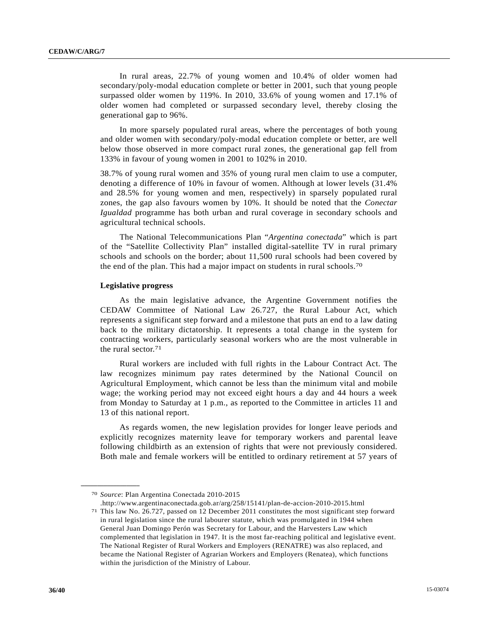In rural areas, 22.7% of young women and 10.4% of older women had secondary/poly-modal education complete or better in 2001, such that young people surpassed older women by 119%. In 2010, 33.6% of young women and 17.1% of older women had completed or surpassed secondary level, thereby closing the generational gap to 96%.

 In more sparsely populated rural areas, where the percentages of both young and older women with secondary/poly-modal education complete or better, are well below those observed in more compact rural zones, the generational gap fell from 133% in favour of young women in 2001 to 102% in 2010.

38.7% of young rural women and 35% of young rural men claim to use a computer, denoting a difference of 10% in favour of women. Although at lower levels (31.4% and 28.5% for young women and men, respectively) in sparsely populated rural zones, the gap also favours women by 10%. It should be noted that the *Conectar Igualdad* programme has both urban and rural coverage in secondary schools and agricultural technical schools.

 The National Telecommunications Plan "*Argentina conectada*" which is part of the "Satellite Collectivity Plan" installed digital-satellite TV in rural primary schools and schools on the border; about 11,500 rural schools had been covered by the end of the plan. This had a major impact on students in rural schools.70

#### **Legislative progress**

 As the main legislative advance, the Argentine Government notifies the CEDAW Committee of National Law 26.727, the Rural Labour Act, which represents a significant step forward and a milestone that puts an end to a law dating back to the military dictatorship. It represents a total change in the system for contracting workers, particularly seasonal workers who are the most vulnerable in the rural sector.71

 Rural workers are included with full rights in the Labour Contract Act. The law recognizes minimum pay rates determined by the National Council on Agricultural Employment, which cannot be less than the minimum vital and mobile wage; the working period may not exceed eight hours a day and 44 hours a week from Monday to Saturday at 1 p.m., as reported to the Committee in articles 11 and 13 of this national report.

 As regards women, the new legislation provides for longer leave periods and explicitly recognizes maternity leave for temporary workers and parental leave following childbirth as an extension of rights that were not previously considered. Both male and female workers will be entitled to ordinary retirement at 57 years of

**\_\_\_\_\_\_\_\_\_\_\_\_\_\_\_\_\_\_** 

.http://www.argentinaconectada.gob.ar/arg/258/15141/plan-de-accion-2010-2015.html

<sup>70</sup> *Source*: Plan Argentina Conectada 2010-2015

<sup>71</sup> This law No. 26.727, passed on 12 December 2011 constitutes the most significant step forward in rural legislation since the rural labourer statute, which was promulgated in 1944 when General Juan Domingo Perón was Secretary for Labour, and the Harvesters Law which complemented that legislation in 1947. It is the most far-reaching political and legislative event. The National Register of Rural Workers and Employers (RENATRE) was also replaced, and became the National Register of Agrarian Workers and Employers (Renatea), which functions within the jurisdiction of the Ministry of Labour.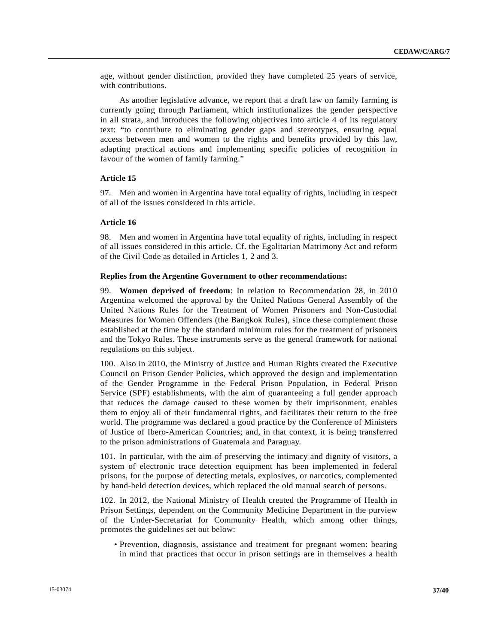age, without gender distinction, provided they have completed 25 years of service, with contributions.

 As another legislative advance, we report that a draft law on family farming is currently going through Parliament, which institutionalizes the gender perspective in all strata, and introduces the following objectives into article 4 of its regulatory text: "to contribute to eliminating gender gaps and stereotypes, ensuring equal access between men and women to the rights and benefits provided by this law, adapting practical actions and implementing specific policies of recognition in favour of the women of family farming."

## **Article 15**

97. Men and women in Argentina have total equality of rights, including in respect of all of the issues considered in this article.

### **Article 16**

98. Men and women in Argentina have total equality of rights, including in respect of all issues considered in this article. Cf. the Egalitarian Matrimony Act and reform of the Civil Code as detailed in Articles 1, 2 and 3.

#### **Replies from the Argentine Government to other recommendations:**

99. **Women deprived of freedom**: In relation to Recommendation 28, in 2010 Argentina welcomed the approval by the United Nations General Assembly of the United Nations Rules for the Treatment of Women Prisoners and Non-Custodial Measures for Women Offenders (the Bangkok Rules), since these complement those established at the time by the standard minimum rules for the treatment of prisoners and the Tokyo Rules. These instruments serve as the general framework for national regulations on this subject.

100. Also in 2010, the Ministry of Justice and Human Rights created the Executive Council on Prison Gender Policies, which approved the design and implementation of the Gender Programme in the Federal Prison Population, in Federal Prison Service (SPF) establishments, with the aim of guaranteeing a full gender approach that reduces the damage caused to these women by their imprisonment, enables them to enjoy all of their fundamental rights, and facilitates their return to the free world. The programme was declared a good practice by the Conference of Ministers of Justice of Ibero-American Countries; and, in that context, it is being transferred to the prison administrations of Guatemala and Paraguay.

101. In particular, with the aim of preserving the intimacy and dignity of visitors, a system of electronic trace detection equipment has been implemented in federal prisons, for the purpose of detecting metals, explosives, or narcotics, complemented by hand-held detection devices, which replaced the old manual search of persons.

102. In 2012, the National Ministry of Health created the Programme of Health in Prison Settings, dependent on the Community Medicine Department in the purview of the Under-Secretariat for Community Health, which among other things, promotes the guidelines set out below:

 • Prevention, diagnosis, assistance and treatment for pregnant women: bearing in mind that practices that occur in prison settings are in themselves a health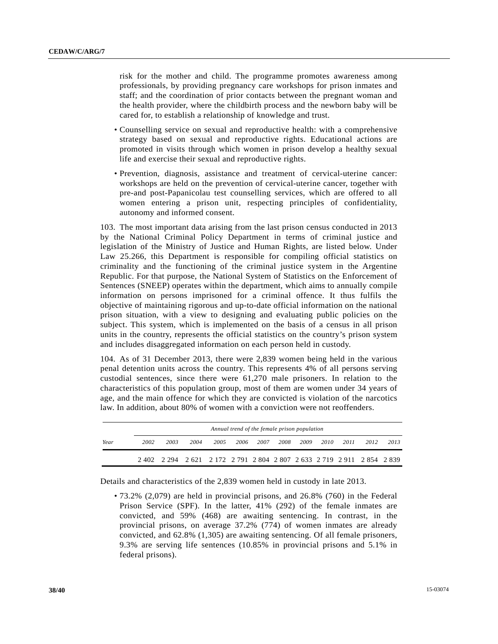risk for the mother and child. The programme promotes awareness among professionals, by providing pregnancy care workshops for prison inmates and staff; and the coordination of prior contacts between the pregnant woman and the health provider, where the childbirth process and the newborn baby will be cared for, to establish a relationship of knowledge and trust.

- Counselling service on sexual and reproductive health: with a comprehensive strategy based on sexual and reproductive rights. Educational actions are promoted in visits through which women in prison develop a healthy sexual life and exercise their sexual and reproductive rights.
- Prevention, diagnosis, assistance and treatment of cervical-uterine cancer: workshops are held on the prevention of cervical-uterine cancer, together with pre-and post-Papanicolau test counselling services, which are offered to all women entering a prison unit, respecting principles of confidentiality, autonomy and informed consent.

103. The most important data arising from the last prison census conducted in 2013 by the National Criminal Policy Department in terms of criminal justice and legislation of the Ministry of Justice and Human Rights, are listed below. Under Law 25.266, this Department is responsible for compiling official statistics on criminality and the functioning of the criminal justice system in the Argentine Republic. For that purpose, the National System of Statistics on the Enforcement of Sentences (SNEEP) operates within the department, which aims to annually compile information on persons imprisoned for a criminal offence. It thus fulfils the objective of maintaining rigorous and up-to-date official information on the national prison situation, with a view to designing and evaluating public policies on the subject. This system, which is implemented on the basis of a census in all prison units in the country, represents the official statistics on the country's prison system and includes disaggregated information on each person held in custody.

104. As of 31 December 2013, there were 2,839 women being held in the various penal detention units across the country. This represents 4% of all persons serving custodial sentences, since there were 61,270 male prisoners. In relation to the characteristics of this population group, most of them are women under 34 years of age, and the main offence for which they are convicted is violation of the narcotics law. In addition, about 80% of women with a conviction were not reoffenders.

| Year | 2002 | 2003                                                                    | 2004 | 2005 | 2006 | 2007 | 2008 | 2009 | 2010 | 2011 | 2012 | 2013 |
|------|------|-------------------------------------------------------------------------|------|------|------|------|------|------|------|------|------|------|
|      |      | 2 402 2 294 2 621 2 172 2 791 2 804 2 807 2 633 2 719 2 911 2 854 2 839 |      |      |      |      |      |      |      |      |      |      |

Details and characteristics of the 2,839 women held in custody in late 2013.

 • 73.2% (2,079) are held in provincial prisons, and 26.8% (760) in the Federal Prison Service (SPF). In the latter, 41% (292) of the female inmates are convicted, and 59% (468) are awaiting sentencing. In contrast, in the provincial prisons, on average 37.2% (774) of women inmates are already convicted, and 62.8% (1,305) are awaiting sentencing. Of all female prisoners, 9.3% are serving life sentences (10.85% in provincial prisons and 5.1% in federal prisons).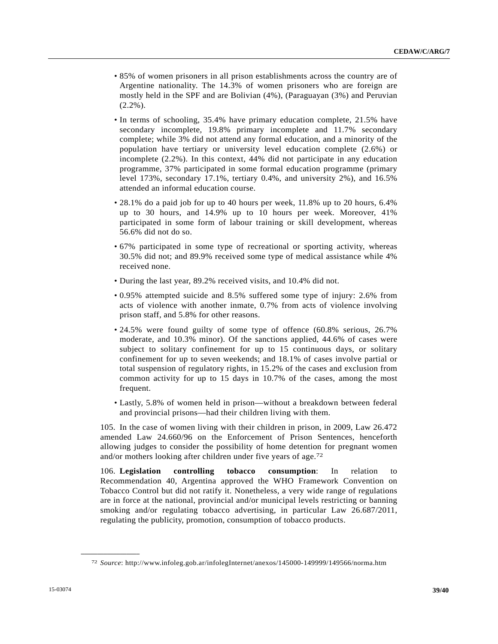- 85% of women prisoners in all prison establishments across the country are of Argentine nationality. The 14.3% of women prisoners who are foreign are mostly held in the SPF and are Bolivian (4%), (Paraguayan (3%) and Peruvian  $(2.2\%)$ .
- In terms of schooling, 35.4% have primary education complete, 21.5% have secondary incomplete, 19.8% primary incomplete and 11.7% secondary complete; while 3% did not attend any formal education, and a minority of the population have tertiary or university level education complete (2.6%) or incomplete (2.2%). In this context, 44% did not participate in any education programme, 37% participated in some formal education programme (primary level 173%, secondary 17.1%, tertiary 0.4%, and university 2%), and 16.5% attended an informal education course.
- 28.1% do a paid job for up to 40 hours per week, 11.8% up to 20 hours, 6.4% up to 30 hours, and 14.9% up to 10 hours per week. Moreover, 41% participated in some form of labour training or skill development, whereas 56.6% did not do so.
- 67% participated in some type of recreational or sporting activity, whereas 30.5% did not; and 89.9% received some type of medical assistance while 4% received none.
- During the last year, 89.2% received visits, and 10.4% did not.
- 0.95% attempted suicide and 8.5% suffered some type of injury: 2.6% from acts of violence with another inmate, 0.7% from acts of violence involving prison staff, and 5.8% for other reasons.
- 24.5% were found guilty of some type of offence (60.8% serious, 26.7% moderate, and 10.3% minor). Of the sanctions applied, 44.6% of cases were subject to solitary confinement for up to 15 continuous days, or solitary confinement for up to seven weekends; and 18.1% of cases involve partial or total suspension of regulatory rights, in 15.2% of the cases and exclusion from common activity for up to 15 days in 10.7% of the cases, among the most frequent.
- Lastly, 5.8% of women held in prison—without a breakdown between federal and provincial prisons—had their children living with them.

105. In the case of women living with their children in prison, in 2009, Law 26.472 amended Law 24.660/96 on the Enforcement of Prison Sentences, henceforth allowing judges to consider the possibility of home detention for pregnant women and/or mothers looking after children under five years of age.72

106. **Legislation controlling tobacco consumption**: In relation to Recommendation 40, Argentina approved the WHO Framework Convention on Tobacco Control but did not ratify it. Nonetheless, a very wide range of regulations are in force at the national, provincial and/or municipal levels restricting or banning smoking and/or regulating tobacco advertising, in particular Law 26.687/2011, regulating the publicity, promotion, consumption of tobacco products.

<sup>72</sup> *Source*: http://www.infoleg.gob.ar/infolegInternet/anexos/145000-149999/149566/norma.htm